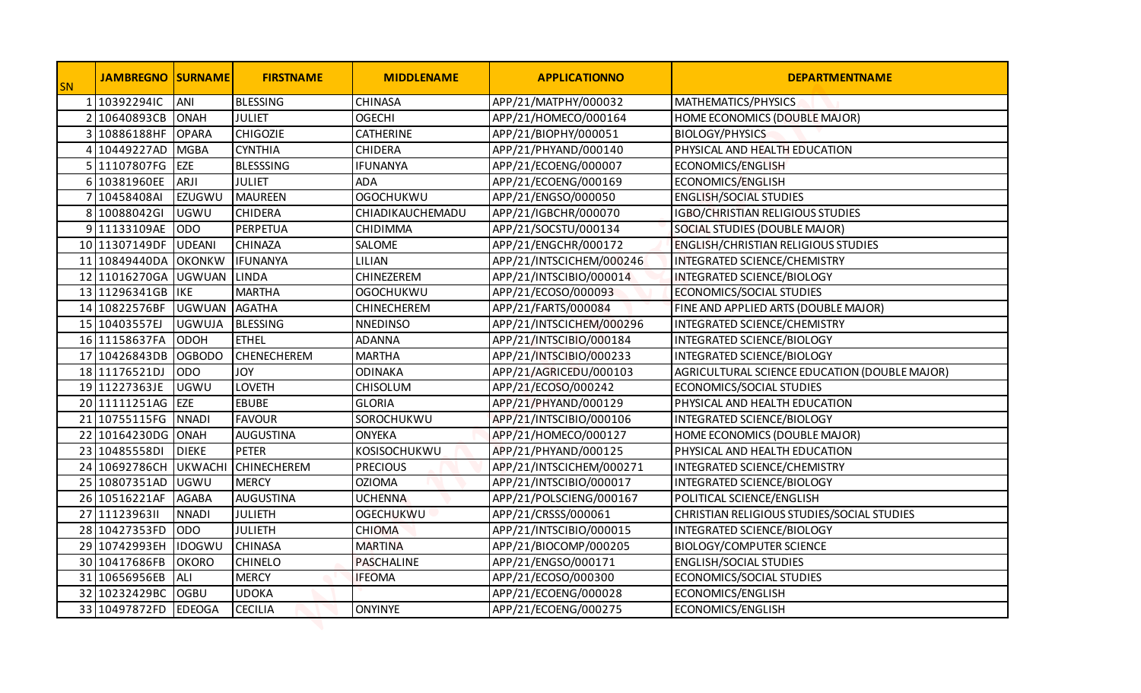| <b>SN</b>     | <b>JAMBREGNO SURNAME</b>       |                              | <b>FIRSTNAME</b>               | <b>MIDDLENAME</b>  | <b>APPLICATIONNO</b>                         | <b>DEPARTMENTNAME</b>                         |
|---------------|--------------------------------|------------------------------|--------------------------------|--------------------|----------------------------------------------|-----------------------------------------------|
|               | 1 10392294IC                   | <b>ANI</b>                   | <b>BLESSING</b>                | <b>CHINASA</b>     | APP/21/MATPHY/000032                         | MATHEMATICS/PHYSICS                           |
| $\mathcal{P}$ | 10640893CB                     | <b>ONAH</b>                  | <b>JULIET</b>                  | <b>OGECHI</b>      | APP/21/HOMECO/000164                         | HOME ECONOMICS (DOUBLE MAJOR)                 |
| 3             | 10886188HF                     | <b>OPARA</b>                 | <b>CHIGOZIE</b>                | <b>CATHERINE</b>   | APP/21/BIOPHY/000051                         | <b>BIOLOGY/PHYSICS</b>                        |
|               | 4 10449227AD MGBA              |                              | <b>CYNTHIA</b>                 | <b>CHIDERA</b>     | APP/21/PHYAND/000140                         | PHYSICAL AND HEALTH EDUCATION                 |
|               | 5 11107807FG                   | <b>EZE</b>                   | <b>BLESSSING</b>               | <b>IFUNANYA</b>    | APP/21/ECOENG/000007                         | ECONOMICS/ENGLISH                             |
|               | 6 10381960EE                   | ARJI                         | <b>JULIET</b>                  | <b>ADA</b>         | APP/21/ECOENG/000169                         | ECONOMICS/ENGLISH                             |
|               | 7 10458408AI                   | <b>EZUGWU</b>                | <b>MAUREEN</b>                 | <b>OGOCHUKWU</b>   | APP/21/ENGSO/000050                          | <b>ENGLISH/SOCIAL STUDIES</b>                 |
|               | 8 10088042GI                   | UGWU                         | <b>CHIDERA</b>                 | CHIADIKAUCHEMADU   | APP/21/IGBCHR/000070                         | <b>IGBO/CHRISTIAN RELIGIOUS STUDIES</b>       |
|               | 9 11133109AE                   | <b>ODO</b>                   | PERPETUA                       | CHIDIMMA           | APP/21/SOCSTU/000134                         | SOCIAL STUDIES (DOUBLE MAJOR)                 |
|               | 10 11307149DF UDEANI           |                              | <b>CHINAZA</b>                 | SALOME             | APP/21/ENGCHR/000172                         | <b>ENGLISH/CHRISTIAN RELIGIOUS STUDIES</b>    |
|               | 11 10849440DA OKONKW           |                              | <b>IFUNANYA</b>                | LILIAN             | APP/21/INTSCICHEM/000246                     | INTEGRATED SCIENCE/CHEMISTRY                  |
|               | 12 11016270GA UGWUAN           |                              | <b>LINDA</b>                   | CHINEZEREM         | APP/21/INTSCIBIO/000014                      | INTEGRATED SCIENCE/BIOLOGY                    |
|               | 13 11296341GB   IKE            |                              | <b>MARTHA</b>                  | <b>OGOCHUKWU</b>   | APP/21/ECOSO/000093                          | ECONOMICS/SOCIAL STUDIES                      |
|               | 14 10822576BF UGWUAN AGATHA    |                              |                                | <b>CHINECHEREM</b> | APP/21/FARTS/000084                          | FINE AND APPLIED ARTS (DOUBLE MAJOR)          |
|               | 15 10403557EJ                  | <b>UGWUJA</b>                | BLESSING                       | <b>NNEDINSO</b>    | APP/21/INTSCICHEM/000296                     | INTEGRATED SCIENCE/CHEMISTRY                  |
|               | 16 11158637FA ODOH             |                              | <b>ETHEL</b>                   | ADANNA             | APP/21/INTSCIBIO/000184                      | INTEGRATED SCIENCE/BIOLOGY                    |
|               | 17 10426843DB OGBODO           |                              | <b>CHENECHEREM</b>             | <b>MARTHA</b>      | APP/21/INTSCIBIO/000233                      | INTEGRATED SCIENCE/BIOLOGY                    |
|               | 18 11176521DJ ODO              |                              | JOY                            | ODINAKA            | APP/21/AGRICEDU/000103                       | AGRICULTURAL SCIENCE EDUCATION (DOUBLE MAJOR) |
|               | 19 11227363JE UGWU             |                              | <b>LOVETH</b>                  | <b>CHISOLUM</b>    | APP/21/ECOSO/000242                          | ECONOMICS/SOCIAL STUDIES                      |
|               | 20 11111251AG EZE              |                              | <b>EBUBE</b>                   | <b>GLORIA</b>      | APP/21/PHYAND/000129                         | PHYSICAL AND HEALTH EDUCATION                 |
|               | 21 10755115FG NNADI            |                              | <b>FAVOUR</b>                  | SOROCHUKWU         | APP/21/INTSCIBIO/000106                      | INTEGRATED SCIENCE/BIOLOGY                    |
|               | 22 10164230DG ONAH             |                              | <b>AUGUSTINA</b>               | <b>ONYEKA</b>      | APP/21/HOMECO/000127                         | HOME ECONOMICS (DOUBLE MAJOR)                 |
|               | 23 10485558DI                  | <b>DIEKE</b>                 | <b>PETER</b>                   | KOSISOCHUKWU       | APP/21/PHYAND/000125                         | PHYSICAL AND HEALTH EDUCATION                 |
|               | 24 10692786CH UKWACHI          |                              | <b>CHINECHEREM</b>             | <b>PRECIOUS</b>    | APP/21/INTSCICHEM/000271                     | INTEGRATED SCIENCE/CHEMISTRY                  |
|               | 25 10807351AD UGWU             |                              | <b>MERCY</b>                   | <b>OZIOMA</b>      | APP/21/INTSCIBIO/000017                      | INTEGRATED SCIENCE/BIOLOGY                    |
|               | 26 10516221AF                  | <b>AGABA</b>                 | <b>AUGUSTINA</b>               | <b>UCHENNA</b>     | APP/21/POLSCIENG/000167                      | POLITICAL SCIENCE/ENGLISH                     |
|               | 27 1112396311                  | <b>NNADI</b>                 | <b>JULIETH</b>                 | <b>OGECHUKWU</b>   | APP/21/CRSSS/000061                          | CHRISTIAN RELIGIOUS STUDIES/SOCIAL STUDIES    |
|               | 28 10427353FD ODO              |                              | <b>JULIETH</b>                 | <b>CHIOMA</b>      | APP/21/INTSCIBIO/000015                      | INTEGRATED SCIENCE/BIOLOGY                    |
|               | 29 10742993EH                  | <b>IDOGWU</b>                | <b>CHINASA</b>                 | <b>MARTINA</b>     | APP/21/BIOCOMP/000205                        | <b>BIOLOGY/COMPUTER SCIENCE</b>               |
|               | 30 10417686FB                  | <b>OKORO</b>                 | <b>CHINELO</b>                 | PASCHALINE         | APP/21/ENGSO/000171                          | <b>ENGLISH/SOCIAL STUDIES</b>                 |
|               | 31 10656956EB                  | <b>ALI</b>                   | <b>MERCY</b>                   | <b>IFEOMA</b>      | APP/21/ECOSO/000300                          | ECONOMICS/SOCIAL STUDIES                      |
|               | 32 10232429BC<br>33 10497872FD | <b>OGBU</b><br><b>EDEOGA</b> | <b>UDOKA</b><br><b>CECILIA</b> | <b>ONYINYE</b>     | APP/21/ECOENG/000028<br>APP/21/ECOENG/000275 | ECONOMICS/ENGLISH<br>ECONOMICS/ENGLISH        |
|               |                                |                              |                                |                    |                                              |                                               |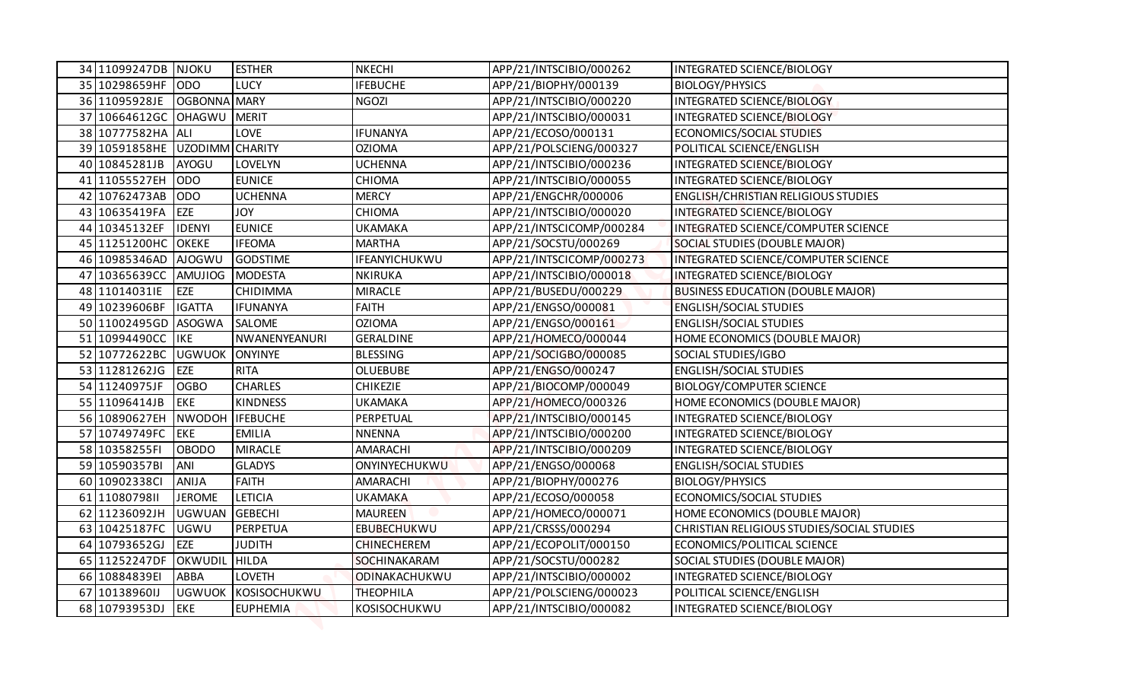| 34 11099247DB NJOKU            |                                | <b>ESTHER</b>           | <b>NKECHI</b>                    | APP/21/INTSCIBIO/000262                     | INTEGRATED SCIENCE/BIOLOGY                         |
|--------------------------------|--------------------------------|-------------------------|----------------------------------|---------------------------------------------|----------------------------------------------------|
| 35 10298659HF ODO              |                                | <b>LUCY</b>             | <b>IFEBUCHE</b>                  | APP/21/BIOPHY/000139                        | <b>BIOLOGY/PHYSICS</b>                             |
| 36 11095928JE OGBONNA MARY     |                                |                         | <b>NGOZI</b>                     | APP/21/INTSCIBIO/000220                     | INTEGRATED SCIENCE/BIOLOGY                         |
| 37 10664612GC OHAGWU MERIT     |                                |                         |                                  | APP/21/INTSCIBIO/000031                     | INTEGRATED SCIENCE/BIOLOGY                         |
| 38 10777582HA ALI              |                                | <b>LOVE</b>             | <b>IFUNANYA</b>                  | APP/21/ECOSO/000131                         | <b>ECONOMICS/SOCIAL STUDIES</b>                    |
| 39 10591858HE UZODIMM CHARITY  |                                |                         | <b>OZIOMA</b>                    | APP/21/POLSCIENG/000327                     | POLITICAL SCIENCE/ENGLISH                          |
| 40 10845281JB                  | <b>AYOGU</b>                   | LOVELYN                 | <b>UCHENNA</b>                   | APP/21/INTSCIBIO/000236                     | INTEGRATED SCIENCE/BIOLOGY                         |
| 41 11055527EH                  | <b>ODO</b>                     | <b>EUNICE</b>           | <b>CHIOMA</b>                    | APP/21/INTSCIBIO/000055                     | INTEGRATED SCIENCE/BIOLOGY                         |
| 42 10762473AB                  | <b>ODO</b>                     | <b>UCHENNA</b>          | <b>MERCY</b>                     | APP/21/ENGCHR/000006                        | <b>ENGLISH/CHRISTIAN RELIGIOUS STUDIES</b>         |
| 43 10635419FA                  | EZE                            | <b>YOL</b>              | <b>CHIOMA</b>                    | APP/21/INTSCIBIO/000020                     | INTEGRATED SCIENCE/BIOLOGY                         |
| 44 10345132EF                  | <b>IDENYI</b>                  | <b>EUNICE</b>           | <b>UKAMAKA</b>                   | APP/21/INTSCICOMP/000284                    | INTEGRATED SCIENCE/COMPUTER SCIENCE                |
| 45 11251200HC OKEKE            |                                | <b>IFEOMA</b>           | <b>MARTHA</b>                    | APP/21/SOCSTU/000269                        | SOCIAL STUDIES (DOUBLE MAJOR)                      |
| 46 10985346AD AJOGWU           |                                | <b>GODSTIME</b>         | IFEANYICHUKWU                    | APP/21/INTSCICOMP/000273                    | INTEGRATED SCIENCE/COMPUTER SCIENCE                |
| 47 10365639CC AMUJIOG          |                                | MODESTA                 | <b>NKIRUKA</b>                   | APP/21/INTSCIBIO/000018                     | INTEGRATED SCIENCE/BIOLOGY                         |
| 48 11014031IE                  | EZE                            | CHIDIMMA                | <b>MIRACLE</b>                   | APP/21/BUSEDU/000229                        | <b>BUSINESS EDUCATION (DOUBLE MAJOR)</b>           |
| 49 10239606BF                  | <b>IGATTA</b>                  | <b>IFUNANYA</b>         | <b>FAITH</b>                     | APP/21/ENGSO/000081                         | <b>ENGLISH/SOCIAL STUDIES</b>                      |
| 50 11002495GD ASOGWA           |                                | <b>SALOME</b>           | <b>OZIOMA</b>                    | APP/21/ENGSO/000161                         | <b>ENGLISH/SOCIAL STUDIES</b>                      |
| 51 10994490CC IKE              |                                | NWANENYEANURI           | <b>GERALDINE</b>                 | APP/21/HOMECO/000044                        | HOME ECONOMICS (DOUBLE MAJOR)                      |
| 52 10772622BC UGWUOK           |                                | <b>ONYINYE</b>          | <b>BLESSING</b>                  | APP/21/SOCIGBO/000085                       | SOCIAL STUDIES/IGBO                                |
| 53 11281262JG EZE              |                                | <b>RITA</b>             | <b>OLUEBUBE</b>                  | APP/21/ENGSO/000247                         | <b>ENGLISH/SOCIAL STUDIES</b>                      |
| 54 11240975JF                  | <b>OGBO</b>                    | <b>CHARLES</b>          | <b>CHIKEZIE</b>                  | APP/21/BIOCOMP/000049                       | <b>BIOLOGY/COMPUTER SCIENCE</b>                    |
| 55 11096414JB                  | <b>EKE</b>                     | <b>KINDNESS</b>         | <b>UKAMAKA</b>                   | APP/21/HOMECO/000326                        | HOME ECONOMICS (DOUBLE MAJOR)                      |
| 56 10890627EH                  | NWODOH IFEBUCHE                |                         | PERPETUAL                        | APP/21/INTSCIBIO/000145                     | INTEGRATED SCIENCE/BIOLOGY                         |
| 57 10749749FC EKE              |                                | <b>EMILIA</b>           | <b>NNENNA</b>                    | APP/21/INTSCIBIO/000200                     | INTEGRATED SCIENCE/BIOLOGY                         |
| 58 10358255FI                  | <b>OBODO</b>                   | <b>MIRACLE</b>          | AMARACHI                         | APP/21/INTSCIBIO/000209                     | INTEGRATED SCIENCE/BIOLOGY                         |
| 59 10590357BI                  | ANI                            | <b>GLADYS</b>           | ONYINYECHUKWU                    | APP/21/ENGSO/000068                         | <b>ENGLISH/SOCIAL STUDIES</b>                      |
| 60 10902338Cl                  | <b>ANIJA</b>                   | <b>FAITH</b><br>LETICIA | AMARACHI                         | APP/21/BIOPHY/000276<br>APP/21/ECOSO/000058 | <b>BIOLOGY/PHYSICS</b><br>ECONOMICS/SOCIAL STUDIES |
| 61 1108079811<br>62 11236092JH | <b>JEROME</b><br><b>UGWUAN</b> | <b>GEBECHI</b>          | <b>UKAMAKA</b><br><b>MAUREEN</b> | APP/21/HOMECO/000071                        | HOME ECONOMICS (DOUBLE MAJOR)                      |
| 63 10425187FC                  | UGWU                           | PERPETUA                | EBUBECHUKWU                      | APP/21/CRSSS/000294                         | CHRISTIAN RELIGIOUS STUDIES/SOCIAL STUDIES         |
| 64 10793652GJ                  | <b>EZE</b>                     | JUDITH                  | <b>CHINECHEREM</b>               | APP/21/ECOPOLIT/000150                      | ECONOMICS/POLITICAL SCIENCE                        |
| 65 11252247DF                  | OKWUDIL HILDA                  |                         | SOCHINAKARAM                     | APP/21/SOCSTU/000282                        | SOCIAL STUDIES (DOUBLE MAJOR)                      |
| 66 10884839EI                  | ABBA                           | <b>LOVETH</b>           | ODINAKACHUKWU                    | APP/21/INTSCIBIO/000002                     | INTEGRATED SCIENCE/BIOLOGY                         |
| 67 10138960IJ                  | <b>UGWUOK</b>                  | KOSISOCHUKWU            | <b>THEOPHILA</b>                 | APP/21/POLSCIENG/000023                     | POLITICAL SCIENCE/ENGLISH                          |
| 68 10793953DJ                  | <b>EKE</b>                     | <b>EUPHEMIA</b>         | KOSISOCHUKWU                     | APP/21/INTSCIBIO/000082                     | INTEGRATED SCIENCE/BIOLOGY                         |
|                                |                                |                         |                                  |                                             |                                                    |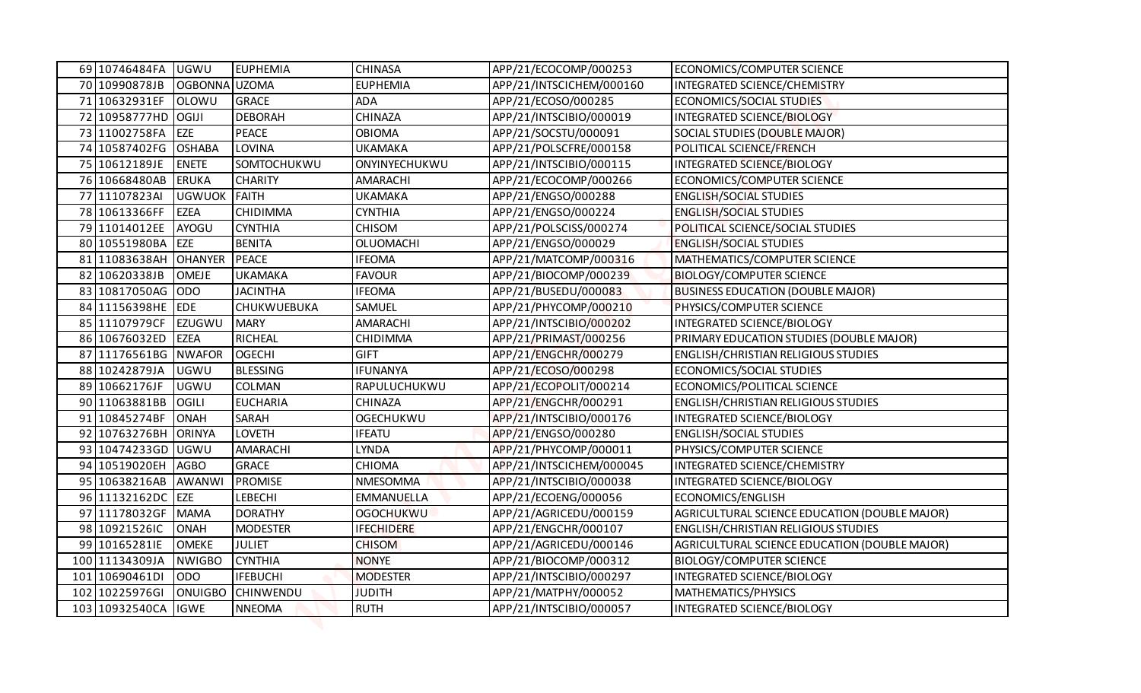| 69 10746484FA                    | <b>UGWU</b>                      | <b>EUPHEMIA</b>                   | <b>CHINASA</b>                  | APP/21/ECOCOMP/000253                            | ECONOMICS/COMPUTER SCIENCE                                    |
|----------------------------------|----------------------------------|-----------------------------------|---------------------------------|--------------------------------------------------|---------------------------------------------------------------|
| 70 10990878JB                    | OGBONNA UZOMA                    |                                   | <b>EUPHEMIA</b>                 | APP/21/INTSCICHEM/000160                         | INTEGRATED SCIENCE/CHEMISTRY                                  |
| 71 10632931EF                    | <b>OLOWU</b>                     | <b>GRACE</b>                      | <b>ADA</b>                      | APP/21/ECOSO/000285                              | ECONOMICS/SOCIAL STUDIES                                      |
| 72 10958777HD OGIJI              |                                  | <b>DEBORAH</b>                    | CHINAZA                         | APP/21/INTSCIBIO/000019                          | INTEGRATED SCIENCE/BIOLOGY                                    |
| 73 11002758FA                    | <b>EZE</b>                       | <b>PEACE</b>                      | <b>OBIOMA</b>                   | APP/21/SOCSTU/000091                             | SOCIAL STUDIES (DOUBLE MAJOR)                                 |
| 74 10587402FG                    | <b>OSHABA</b>                    | LOVINA                            | <b>UKAMAKA</b>                  | APP/21/POLSCFRE/000158                           | POLITICAL SCIENCE/FRENCH                                      |
| 75 10612189JE                    | <b>ENETE</b>                     | SOMTOCHUKWU                       | ONYINYECHUKWU                   | APP/21/INTSCIBIO/000115                          | INTEGRATED SCIENCE/BIOLOGY                                    |
| 76 10668480AB                    | <b>ERUKA</b>                     | <b>CHARITY</b>                    | AMARACHI                        | APP/21/ECOCOMP/000266                            | ECONOMICS/COMPUTER SCIENCE                                    |
| 77 11107823AI                    | UGWUOK FAITH                     |                                   | <b>UKAMAKA</b>                  | APP/21/ENGSO/000288                              | <b>ENGLISH/SOCIAL STUDIES</b>                                 |
| 78 10613366FF                    | <b>EZEA</b>                      | CHIDIMMA                          | <b>CYNTHIA</b>                  | APP/21/ENGSO/000224                              | <b>ENGLISH/SOCIAL STUDIES</b>                                 |
| 79 11014012EE                    | AYOGU                            | <b>CYNTHIA</b>                    | <b>CHISOM</b>                   | APP/21/POLSCISS/000274                           | POLITICAL SCIENCE/SOCIAL STUDIES                              |
| 80 10551980BA EZE                |                                  | <b>BENITA</b>                     | <b>OLUOMACHI</b>                | APP/21/ENGSO/000029                              | <b>ENGLISH/SOCIAL STUDIES</b>                                 |
| 81 11083638AH OHANYER            |                                  | PEACE                             | <b>IFEOMA</b>                   | APP/21/MATCOMP/000316                            | MATHEMATICS/COMPUTER SCIENCE                                  |
| 82 10620338JB                    | <b>OMEJE</b>                     | <b>UKAMAKA</b>                    | <b>FAVOUR</b>                   | APP/21/BIOCOMP/000239                            | <b>BIOLOGY/COMPUTER SCIENCE</b>                               |
| 83 10817050AG ODO                |                                  | <b>JACINTHA</b>                   | <b>IFEOMA</b>                   | APP/21/BUSEDU/000083                             | <b>BUSINESS EDUCATION (DOUBLE MAJOR)</b>                      |
| 84 11156398HE EDE                |                                  | CHUKWUEBUKA                       | <b>SAMUEL</b>                   | APP/21/PHYCOMP/000210                            | PHYSICS/COMPUTER SCIENCE                                      |
| 85 11107979CF                    | EZUGWU                           | <b>MARY</b>                       | AMARACHI                        | APP/21/INTSCIBIO/000202                          | INTEGRATED SCIENCE/BIOLOGY                                    |
| 86 10676032ED                    | <b>EZEA</b>                      | <b>RICHEAL</b>                    | CHIDIMMA                        | APP/21/PRIMAST/000256                            | PRIMARY EDUCATION STUDIES (DOUBLE MAJOR)                      |
| 87 11176561BG NWAFOR             |                                  | <b>OGECHI</b>                     | <b>GIFT</b>                     | APP/21/ENGCHR/000279                             | <b>ENGLISH/CHRISTIAN RELIGIOUS STUDIES</b>                    |
| 88 10242879JA UGWU               |                                  | <b>BLESSING</b>                   | <b>IFUNANYA</b>                 | APP/21/ECOSO/000298                              | ECONOMICS/SOCIAL STUDIES                                      |
| 89 10662176JF                    | <b>UGWU</b>                      | <b>COLMAN</b>                     | RAPULUCHUKWU                    | APP/21/ECOPOLIT/000214                           | ECONOMICS/POLITICAL SCIENCE                                   |
| 90 11063881BB                    | <b>OGILI</b>                     | <b>EUCHARIA</b>                   | CHINAZA                         | APP/21/ENGCHR/000291                             | <b>ENGLISH/CHRISTIAN RELIGIOUS STUDIES</b>                    |
| 91 10845274BF                    | <b>ONAH</b>                      | SARAH                             | <b>OGECHUKWU</b>                | APP/21/INTSCIBIO/000176                          | INTEGRATED SCIENCE/BIOLOGY                                    |
| 92 10763276BH ORINYA             |                                  | <b>LOVETH</b>                     | <b>IFEATU</b>                   | APP/21/ENGSO/000280                              | <b>ENGLISH/SOCIAL STUDIES</b>                                 |
| 93 10474233GD UGWU               |                                  | AMARACHI                          | LYNDA                           | APP/21/PHYCOMP/000011                            | PHYSICS/COMPUTER SCIENCE                                      |
| 94 10519020EH                    | <b>AGBO</b>                      | <b>GRACE</b>                      | CHIOMA                          | APP/21/INTSCICHEM/000045                         | INTEGRATED SCIENCE/CHEMISTRY                                  |
| 95 10638216AB                    | AWANWI                           | <b>PROMISE</b>                    | NMESOMMA                        | APP/21/INTSCIBIO/000038                          | INTEGRATED SCIENCE/BIOLOGY                                    |
| 96 11132162DC EZE                |                                  | LEBECHI                           | EMMANUELLA                      | APP/21/ECOENG/000056                             | ECONOMICS/ENGLISH                                             |
| 97 11178032GF                    | <b>MAMA</b>                      | <b>DORATHY</b>                    | <b>OGOCHUKWU</b>                | APP/21/AGRICEDU/000159                           | AGRICULTURAL SCIENCE EDUCATION (DOUBLE MAJOR)                 |
| 98 10921526IC                    | <b>ONAH</b>                      | <b>MODESTER</b>                   | <b>IFECHIDERE</b>               | APP/21/ENGCHR/000107                             | <b>ENGLISH/CHRISTIAN RELIGIOUS STUDIES</b>                    |
| 99 10165281IE                    | <b>OMEKE</b>                     | <b>JULIET</b>                     | <b>CHISOM</b>                   | APP/21/AGRICEDU/000146                           | AGRICULTURAL SCIENCE EDUCATION (DOUBLE MAJOR)                 |
| 100 11134309JA<br>101 10690461DI | <b>NWIGBO</b><br>OD <sub>O</sub> | <b>CYNTHIA</b><br><b>IFEBUCHI</b> | <b>NONYE</b><br><b>MODESTER</b> | APP/21/BIOCOMP/000312<br>APP/21/INTSCIBIO/000297 | <b>BIOLOGY/COMPUTER SCIENCE</b><br>INTEGRATED SCIENCE/BIOLOGY |
| 102 10225976GI                   | <b>ONUIGBO</b>                   | <b>CHINWENDU</b>                  | <b>JUDITH</b>                   | APP/21/MATPHY/000052                             | MATHEMATICS/PHYSICS                                           |
| 103 10932540CA                   | <b>IGWE</b>                      | <b>NNEOMA</b>                     | <b>RUTH</b>                     | APP/21/INTSCIBIO/000057                          | INTEGRATED SCIENCE/BIOLOGY                                    |
|                                  |                                  |                                   |                                 |                                                  |                                                               |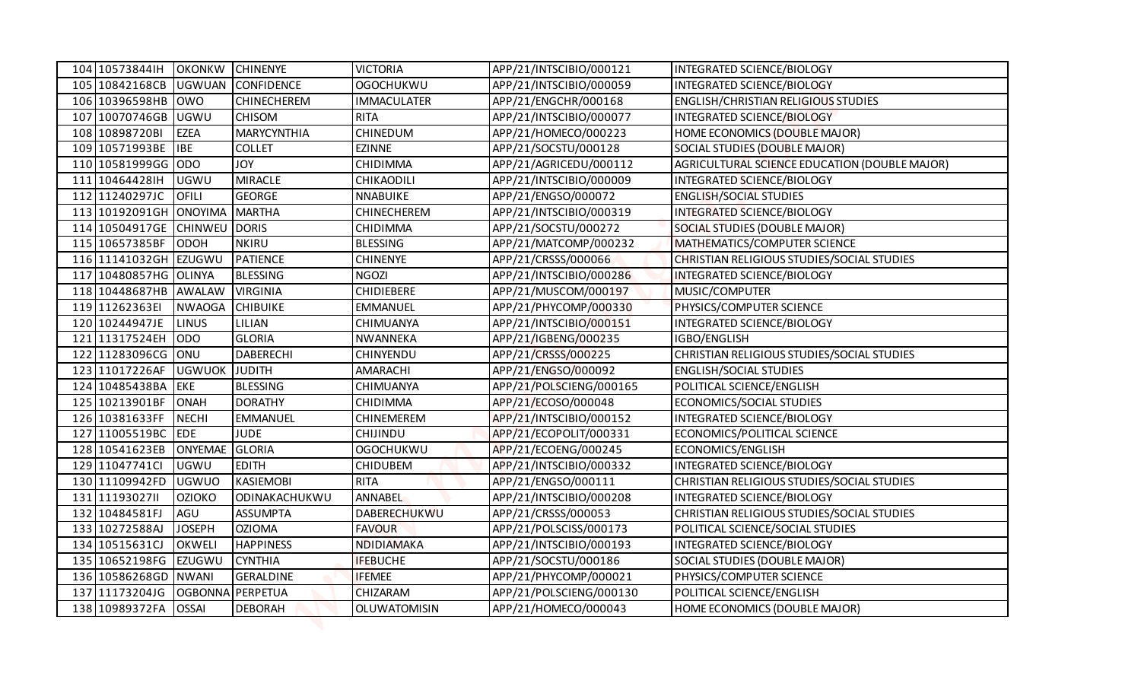| 104 10573844IH<br><b>OKONKW</b><br><b>CHINENYE</b><br><b>VICTORIA</b><br>APP/21/INTSCIBIO/000121<br>INTEGRATED SCIENCE/BIOLOGY<br>105 10842168CB<br><b>UGWUAN</b><br><b>CONFIDENCE</b><br><b>OGOCHUKWU</b><br>APP/21/INTSCIBIO/000059<br>INTEGRATED SCIENCE/BIOLOGY<br>106 10396598HB<br><b>ENGLISH/CHRISTIAN RELIGIOUS STUDIES</b><br><b>OWO</b><br><b>CHINECHEREM</b><br><b>IMMACULATER</b><br>APP/21/ENGCHR/000168<br>107 10070746GB UGWU<br><b>RITA</b><br><b>CHISOM</b><br>APP/21/INTSCIBIO/000077<br>INTEGRATED SCIENCE/BIOLOGY<br>108 10898720BI<br><b>CHINEDUM</b><br><b>EZEA</b><br><b>MARYCYNTHIA</b><br>APP/21/HOMECO/000223<br>HOME ECONOMICS (DOUBLE MAJOR)<br>109 10571993BE<br><b>EZINNE</b><br><b>IBE</b><br><b>COLLET</b><br>APP/21/SOCSTU/000128<br>SOCIAL STUDIES (DOUBLE MAJOR)<br>110 10581999GG ODO<br><b>JOY</b><br>CHIDIMMA<br>APP/21/AGRICEDU/000112<br>AGRICULTURAL SCIENCE EDUCATION (DOUBLE MAJOR)<br>111 10464428IH<br>APP/21/INTSCIBIO/000009<br><b>UGWU</b><br><b>MIRACLE</b><br>INTEGRATED SCIENCE/BIOLOGY<br>CHIKAODILI<br>112 11240297JC<br><b>GEORGE</b><br><b>ENGLISH/SOCIAL STUDIES</b><br><b>OFILI</b><br><b>NNABUIKE</b><br>APP/21/ENGSO/000072<br>113 10192091GH ONOYIMA<br><b>MARTHA</b><br><b>CHINECHEREM</b><br>APP/21/INTSCIBIO/000319<br><b>INTEGRATED SCIENCE/BIOLOGY</b><br>114 10504917GE CHINWEU DORIS<br>APP/21/SOCSTU/000272<br>SOCIAL STUDIES (DOUBLE MAJOR)<br>CHIDIMMA<br>115 10657385BF<br>ODOH<br><b>NKIRU</b><br><b>BLESSING</b><br>APP/21/MATCOMP/000232<br>MATHEMATICS/COMPUTER SCIENCE<br>116 11141032GH EZUGWU<br><b>PATIENCE</b><br><b>CHINENYE</b><br>APP/21/CRSSS/000066<br>CHRISTIAN RELIGIOUS STUDIES/SOCIAL STUDIES<br>117 10480857HG OLINYA<br><b>BLESSING</b><br><b>NGOZI</b><br>APP/21/INTSCIBIO/000286<br><b>INTEGRATED SCIENCE/BIOLOGY</b><br>118 10448687HB AWALAW<br><b>VIRGINIA</b><br><b>CHIDIEBERE</b><br>APP/21/MUSCOM/000197<br>MUSIC/COMPUTER<br>119 11262363EI<br><b>CHIBUIKE</b><br><b>NWAOGA</b><br><b>EMMANUEL</b><br>APP/21/PHYCOMP/000330<br>PHYSICS/COMPUTER SCIENCE<br>120 10244947JE<br>LILIAN<br>CHIMUANYA<br>APP/21/INTSCIBIO/000151<br>INTEGRATED SCIENCE/BIOLOGY<br><b>LINUS</b><br>121 11317524EH<br><b>GLORIA</b><br><b>ODO</b><br>NWANNEKA<br>APP/21/IGBENG/000235<br>IGBO/ENGLISH<br>11283096CG ONU<br><b>DABERECHI</b><br>CHINYENDU<br>APP/21/CRSSS/000225<br>CHRISTIAN RELIGIOUS STUDIES/SOCIAL STUDIES<br>122<br>123 11017226AF UGWUOK JUDITH<br>APP/21/ENGSO/000092<br>AMARACHI<br><b>ENGLISH/SOCIAL STUDIES</b><br>APP/21/POLSCIENG/000165<br>124 10485438BA<br><b>BLESSING</b><br>CHIMUANYA<br>POLITICAL SCIENCE/ENGLISH<br><b>EKE</b><br>125 10213901BF<br><b>DORATHY</b><br>CHIDIMMA<br><b>ONAH</b><br>APP/21/ECOSO/000048<br>ECONOMICS/SOCIAL STUDIES<br>APP/21/INTSCIBIO/000152<br>126 10381633FF<br><b>CHINEMEREM</b><br>INTEGRATED SCIENCE/BIOLOGY<br><b>NECHI</b><br><b>EMMANUEL</b><br>127 11005519BC<br>CHIJINDU<br>APP/21/ECOPOLIT/000331<br>ECONOMICS/POLITICAL SCIENCE<br><b>EDE</b><br><b>JUDE</b><br>128 10541623EB<br>ONYEMAE GLORIA<br><b>OGOCHUKWU</b><br>APP/21/ECOENG/000245<br>ECONOMICS/ENGLISH<br>129 11047741Cl<br><b>UGWU</b><br><b>EDITH</b><br><b>CHIDUBEM</b><br>APP/21/INTSCIBIO/000332<br>INTEGRATED SCIENCE/BIOLOGY<br><b>KASIEMOBI</b><br>130 11109942FD<br><b>RITA</b><br>APP/21/ENGSO/000111<br>CHRISTIAN RELIGIOUS STUDIES/SOCIAL STUDIES<br><b>UGWUO</b><br>131 1119302711<br>ODINAKACHUKWU<br>ANNABEL<br><b>OZIOKO</b><br>APP/21/INTSCIBIO/000208<br>INTEGRATED SCIENCE/BIOLOGY<br>132 10484581FJ<br>AGU<br><b>ASSUMPTA</b><br><b>DABERECHUKWU</b><br>APP/21/CRSSS/000053<br>CHRISTIAN RELIGIOUS STUDIES/SOCIAL STUDIES<br><b>OZIOMA</b><br><b>FAVOUR</b><br>POLITICAL SCIENCE/SOCIAL STUDIES<br>133 10272588AJ<br>APP/21/POLSCISS/000173<br><b>JOSEPH</b><br>134 10515631CJ<br><b>OKWELI</b><br><b>HAPPINESS</b><br>APP/21/INTSCIBIO/000193<br>NDIDIAMAKA<br>INTEGRATED SCIENCE/BIOLOGY<br>135 10652198FG<br><b>EZUGWU</b><br><b>CYNTHIA</b><br><b>IFEBUCHE</b><br>APP/21/SOCSTU/000186<br>SOCIAL STUDIES (DOUBLE MAJOR)<br>136 10586268GD<br><b>NWANI</b><br>GERALDINE<br><b>IFEMEE</b><br>APP/21/PHYCOMP/000021<br>PHYSICS/COMPUTER SCIENCE<br>137 11173204JG<br>OGBONNA PERPETUA<br>CHIZARAM<br>APP/21/POLSCIENG/000130<br>POLITICAL SCIENCE/ENGLISH |  |  |  |  |
|-----------------------------------------------------------------------------------------------------------------------------------------------------------------------------------------------------------------------------------------------------------------------------------------------------------------------------------------------------------------------------------------------------------------------------------------------------------------------------------------------------------------------------------------------------------------------------------------------------------------------------------------------------------------------------------------------------------------------------------------------------------------------------------------------------------------------------------------------------------------------------------------------------------------------------------------------------------------------------------------------------------------------------------------------------------------------------------------------------------------------------------------------------------------------------------------------------------------------------------------------------------------------------------------------------------------------------------------------------------------------------------------------------------------------------------------------------------------------------------------------------------------------------------------------------------------------------------------------------------------------------------------------------------------------------------------------------------------------------------------------------------------------------------------------------------------------------------------------------------------------------------------------------------------------------------------------------------------------------------------------------------------------------------------------------------------------------------------------------------------------------------------------------------------------------------------------------------------------------------------------------------------------------------------------------------------------------------------------------------------------------------------------------------------------------------------------------------------------------------------------------------------------------------------------------------------------------------------------------------------------------------------------------------------------------------------------------------------------------------------------------------------------------------------------------------------------------------------------------------------------------------------------------------------------------------------------------------------------------------------------------------------------------------------------------------------------------------------------------------------------------------------------------------------------------------------------------------------------------------------------------------------------------------------------------------------------------------------------------------------------------------------------------------------------------------------------------------------------------------------------------------------------------------------------------------------------------------------------------------------------------------------------------------------------------------------------------------------------------------------------------------------------------------------------------------------------------------------------------------------------------------------------------------------------------------------------------------------------------------------------------------------------------------------------------------------------------------------------------------------------------------------------------------------------------------------------------------------------------------------------------------------------------------------------------|--|--|--|--|
|                                                                                                                                                                                                                                                                                                                                                                                                                                                                                                                                                                                                                                                                                                                                                                                                                                                                                                                                                                                                                                                                                                                                                                                                                                                                                                                                                                                                                                                                                                                                                                                                                                                                                                                                                                                                                                                                                                                                                                                                                                                                                                                                                                                                                                                                                                                                                                                                                                                                                                                                                                                                                                                                                                                                                                                                                                                                                                                                                                                                                                                                                                                                                                                                                                                                                                                                                                                                                                                                                                                                                                                                                                                                                                                                                                                                                                                                                                                                                                                                                                                                                                                                                                                                                                                                                                     |  |  |  |  |
|                                                                                                                                                                                                                                                                                                                                                                                                                                                                                                                                                                                                                                                                                                                                                                                                                                                                                                                                                                                                                                                                                                                                                                                                                                                                                                                                                                                                                                                                                                                                                                                                                                                                                                                                                                                                                                                                                                                                                                                                                                                                                                                                                                                                                                                                                                                                                                                                                                                                                                                                                                                                                                                                                                                                                                                                                                                                                                                                                                                                                                                                                                                                                                                                                                                                                                                                                                                                                                                                                                                                                                                                                                                                                                                                                                                                                                                                                                                                                                                                                                                                                                                                                                                                                                                                                                     |  |  |  |  |
|                                                                                                                                                                                                                                                                                                                                                                                                                                                                                                                                                                                                                                                                                                                                                                                                                                                                                                                                                                                                                                                                                                                                                                                                                                                                                                                                                                                                                                                                                                                                                                                                                                                                                                                                                                                                                                                                                                                                                                                                                                                                                                                                                                                                                                                                                                                                                                                                                                                                                                                                                                                                                                                                                                                                                                                                                                                                                                                                                                                                                                                                                                                                                                                                                                                                                                                                                                                                                                                                                                                                                                                                                                                                                                                                                                                                                                                                                                                                                                                                                                                                                                                                                                                                                                                                                                     |  |  |  |  |
|                                                                                                                                                                                                                                                                                                                                                                                                                                                                                                                                                                                                                                                                                                                                                                                                                                                                                                                                                                                                                                                                                                                                                                                                                                                                                                                                                                                                                                                                                                                                                                                                                                                                                                                                                                                                                                                                                                                                                                                                                                                                                                                                                                                                                                                                                                                                                                                                                                                                                                                                                                                                                                                                                                                                                                                                                                                                                                                                                                                                                                                                                                                                                                                                                                                                                                                                                                                                                                                                                                                                                                                                                                                                                                                                                                                                                                                                                                                                                                                                                                                                                                                                                                                                                                                                                                     |  |  |  |  |
|                                                                                                                                                                                                                                                                                                                                                                                                                                                                                                                                                                                                                                                                                                                                                                                                                                                                                                                                                                                                                                                                                                                                                                                                                                                                                                                                                                                                                                                                                                                                                                                                                                                                                                                                                                                                                                                                                                                                                                                                                                                                                                                                                                                                                                                                                                                                                                                                                                                                                                                                                                                                                                                                                                                                                                                                                                                                                                                                                                                                                                                                                                                                                                                                                                                                                                                                                                                                                                                                                                                                                                                                                                                                                                                                                                                                                                                                                                                                                                                                                                                                                                                                                                                                                                                                                                     |  |  |  |  |
|                                                                                                                                                                                                                                                                                                                                                                                                                                                                                                                                                                                                                                                                                                                                                                                                                                                                                                                                                                                                                                                                                                                                                                                                                                                                                                                                                                                                                                                                                                                                                                                                                                                                                                                                                                                                                                                                                                                                                                                                                                                                                                                                                                                                                                                                                                                                                                                                                                                                                                                                                                                                                                                                                                                                                                                                                                                                                                                                                                                                                                                                                                                                                                                                                                                                                                                                                                                                                                                                                                                                                                                                                                                                                                                                                                                                                                                                                                                                                                                                                                                                                                                                                                                                                                                                                                     |  |  |  |  |
|                                                                                                                                                                                                                                                                                                                                                                                                                                                                                                                                                                                                                                                                                                                                                                                                                                                                                                                                                                                                                                                                                                                                                                                                                                                                                                                                                                                                                                                                                                                                                                                                                                                                                                                                                                                                                                                                                                                                                                                                                                                                                                                                                                                                                                                                                                                                                                                                                                                                                                                                                                                                                                                                                                                                                                                                                                                                                                                                                                                                                                                                                                                                                                                                                                                                                                                                                                                                                                                                                                                                                                                                                                                                                                                                                                                                                                                                                                                                                                                                                                                                                                                                                                                                                                                                                                     |  |  |  |  |
|                                                                                                                                                                                                                                                                                                                                                                                                                                                                                                                                                                                                                                                                                                                                                                                                                                                                                                                                                                                                                                                                                                                                                                                                                                                                                                                                                                                                                                                                                                                                                                                                                                                                                                                                                                                                                                                                                                                                                                                                                                                                                                                                                                                                                                                                                                                                                                                                                                                                                                                                                                                                                                                                                                                                                                                                                                                                                                                                                                                                                                                                                                                                                                                                                                                                                                                                                                                                                                                                                                                                                                                                                                                                                                                                                                                                                                                                                                                                                                                                                                                                                                                                                                                                                                                                                                     |  |  |  |  |
|                                                                                                                                                                                                                                                                                                                                                                                                                                                                                                                                                                                                                                                                                                                                                                                                                                                                                                                                                                                                                                                                                                                                                                                                                                                                                                                                                                                                                                                                                                                                                                                                                                                                                                                                                                                                                                                                                                                                                                                                                                                                                                                                                                                                                                                                                                                                                                                                                                                                                                                                                                                                                                                                                                                                                                                                                                                                                                                                                                                                                                                                                                                                                                                                                                                                                                                                                                                                                                                                                                                                                                                                                                                                                                                                                                                                                                                                                                                                                                                                                                                                                                                                                                                                                                                                                                     |  |  |  |  |
|                                                                                                                                                                                                                                                                                                                                                                                                                                                                                                                                                                                                                                                                                                                                                                                                                                                                                                                                                                                                                                                                                                                                                                                                                                                                                                                                                                                                                                                                                                                                                                                                                                                                                                                                                                                                                                                                                                                                                                                                                                                                                                                                                                                                                                                                                                                                                                                                                                                                                                                                                                                                                                                                                                                                                                                                                                                                                                                                                                                                                                                                                                                                                                                                                                                                                                                                                                                                                                                                                                                                                                                                                                                                                                                                                                                                                                                                                                                                                                                                                                                                                                                                                                                                                                                                                                     |  |  |  |  |
|                                                                                                                                                                                                                                                                                                                                                                                                                                                                                                                                                                                                                                                                                                                                                                                                                                                                                                                                                                                                                                                                                                                                                                                                                                                                                                                                                                                                                                                                                                                                                                                                                                                                                                                                                                                                                                                                                                                                                                                                                                                                                                                                                                                                                                                                                                                                                                                                                                                                                                                                                                                                                                                                                                                                                                                                                                                                                                                                                                                                                                                                                                                                                                                                                                                                                                                                                                                                                                                                                                                                                                                                                                                                                                                                                                                                                                                                                                                                                                                                                                                                                                                                                                                                                                                                                                     |  |  |  |  |
|                                                                                                                                                                                                                                                                                                                                                                                                                                                                                                                                                                                                                                                                                                                                                                                                                                                                                                                                                                                                                                                                                                                                                                                                                                                                                                                                                                                                                                                                                                                                                                                                                                                                                                                                                                                                                                                                                                                                                                                                                                                                                                                                                                                                                                                                                                                                                                                                                                                                                                                                                                                                                                                                                                                                                                                                                                                                                                                                                                                                                                                                                                                                                                                                                                                                                                                                                                                                                                                                                                                                                                                                                                                                                                                                                                                                                                                                                                                                                                                                                                                                                                                                                                                                                                                                                                     |  |  |  |  |
|                                                                                                                                                                                                                                                                                                                                                                                                                                                                                                                                                                                                                                                                                                                                                                                                                                                                                                                                                                                                                                                                                                                                                                                                                                                                                                                                                                                                                                                                                                                                                                                                                                                                                                                                                                                                                                                                                                                                                                                                                                                                                                                                                                                                                                                                                                                                                                                                                                                                                                                                                                                                                                                                                                                                                                                                                                                                                                                                                                                                                                                                                                                                                                                                                                                                                                                                                                                                                                                                                                                                                                                                                                                                                                                                                                                                                                                                                                                                                                                                                                                                                                                                                                                                                                                                                                     |  |  |  |  |
|                                                                                                                                                                                                                                                                                                                                                                                                                                                                                                                                                                                                                                                                                                                                                                                                                                                                                                                                                                                                                                                                                                                                                                                                                                                                                                                                                                                                                                                                                                                                                                                                                                                                                                                                                                                                                                                                                                                                                                                                                                                                                                                                                                                                                                                                                                                                                                                                                                                                                                                                                                                                                                                                                                                                                                                                                                                                                                                                                                                                                                                                                                                                                                                                                                                                                                                                                                                                                                                                                                                                                                                                                                                                                                                                                                                                                                                                                                                                                                                                                                                                                                                                                                                                                                                                                                     |  |  |  |  |
|                                                                                                                                                                                                                                                                                                                                                                                                                                                                                                                                                                                                                                                                                                                                                                                                                                                                                                                                                                                                                                                                                                                                                                                                                                                                                                                                                                                                                                                                                                                                                                                                                                                                                                                                                                                                                                                                                                                                                                                                                                                                                                                                                                                                                                                                                                                                                                                                                                                                                                                                                                                                                                                                                                                                                                                                                                                                                                                                                                                                                                                                                                                                                                                                                                                                                                                                                                                                                                                                                                                                                                                                                                                                                                                                                                                                                                                                                                                                                                                                                                                                                                                                                                                                                                                                                                     |  |  |  |  |
|                                                                                                                                                                                                                                                                                                                                                                                                                                                                                                                                                                                                                                                                                                                                                                                                                                                                                                                                                                                                                                                                                                                                                                                                                                                                                                                                                                                                                                                                                                                                                                                                                                                                                                                                                                                                                                                                                                                                                                                                                                                                                                                                                                                                                                                                                                                                                                                                                                                                                                                                                                                                                                                                                                                                                                                                                                                                                                                                                                                                                                                                                                                                                                                                                                                                                                                                                                                                                                                                                                                                                                                                                                                                                                                                                                                                                                                                                                                                                                                                                                                                                                                                                                                                                                                                                                     |  |  |  |  |
|                                                                                                                                                                                                                                                                                                                                                                                                                                                                                                                                                                                                                                                                                                                                                                                                                                                                                                                                                                                                                                                                                                                                                                                                                                                                                                                                                                                                                                                                                                                                                                                                                                                                                                                                                                                                                                                                                                                                                                                                                                                                                                                                                                                                                                                                                                                                                                                                                                                                                                                                                                                                                                                                                                                                                                                                                                                                                                                                                                                                                                                                                                                                                                                                                                                                                                                                                                                                                                                                                                                                                                                                                                                                                                                                                                                                                                                                                                                                                                                                                                                                                                                                                                                                                                                                                                     |  |  |  |  |
|                                                                                                                                                                                                                                                                                                                                                                                                                                                                                                                                                                                                                                                                                                                                                                                                                                                                                                                                                                                                                                                                                                                                                                                                                                                                                                                                                                                                                                                                                                                                                                                                                                                                                                                                                                                                                                                                                                                                                                                                                                                                                                                                                                                                                                                                                                                                                                                                                                                                                                                                                                                                                                                                                                                                                                                                                                                                                                                                                                                                                                                                                                                                                                                                                                                                                                                                                                                                                                                                                                                                                                                                                                                                                                                                                                                                                                                                                                                                                                                                                                                                                                                                                                                                                                                                                                     |  |  |  |  |
|                                                                                                                                                                                                                                                                                                                                                                                                                                                                                                                                                                                                                                                                                                                                                                                                                                                                                                                                                                                                                                                                                                                                                                                                                                                                                                                                                                                                                                                                                                                                                                                                                                                                                                                                                                                                                                                                                                                                                                                                                                                                                                                                                                                                                                                                                                                                                                                                                                                                                                                                                                                                                                                                                                                                                                                                                                                                                                                                                                                                                                                                                                                                                                                                                                                                                                                                                                                                                                                                                                                                                                                                                                                                                                                                                                                                                                                                                                                                                                                                                                                                                                                                                                                                                                                                                                     |  |  |  |  |
|                                                                                                                                                                                                                                                                                                                                                                                                                                                                                                                                                                                                                                                                                                                                                                                                                                                                                                                                                                                                                                                                                                                                                                                                                                                                                                                                                                                                                                                                                                                                                                                                                                                                                                                                                                                                                                                                                                                                                                                                                                                                                                                                                                                                                                                                                                                                                                                                                                                                                                                                                                                                                                                                                                                                                                                                                                                                                                                                                                                                                                                                                                                                                                                                                                                                                                                                                                                                                                                                                                                                                                                                                                                                                                                                                                                                                                                                                                                                                                                                                                                                                                                                                                                                                                                                                                     |  |  |  |  |
|                                                                                                                                                                                                                                                                                                                                                                                                                                                                                                                                                                                                                                                                                                                                                                                                                                                                                                                                                                                                                                                                                                                                                                                                                                                                                                                                                                                                                                                                                                                                                                                                                                                                                                                                                                                                                                                                                                                                                                                                                                                                                                                                                                                                                                                                                                                                                                                                                                                                                                                                                                                                                                                                                                                                                                                                                                                                                                                                                                                                                                                                                                                                                                                                                                                                                                                                                                                                                                                                                                                                                                                                                                                                                                                                                                                                                                                                                                                                                                                                                                                                                                                                                                                                                                                                                                     |  |  |  |  |
|                                                                                                                                                                                                                                                                                                                                                                                                                                                                                                                                                                                                                                                                                                                                                                                                                                                                                                                                                                                                                                                                                                                                                                                                                                                                                                                                                                                                                                                                                                                                                                                                                                                                                                                                                                                                                                                                                                                                                                                                                                                                                                                                                                                                                                                                                                                                                                                                                                                                                                                                                                                                                                                                                                                                                                                                                                                                                                                                                                                                                                                                                                                                                                                                                                                                                                                                                                                                                                                                                                                                                                                                                                                                                                                                                                                                                                                                                                                                                                                                                                                                                                                                                                                                                                                                                                     |  |  |  |  |
|                                                                                                                                                                                                                                                                                                                                                                                                                                                                                                                                                                                                                                                                                                                                                                                                                                                                                                                                                                                                                                                                                                                                                                                                                                                                                                                                                                                                                                                                                                                                                                                                                                                                                                                                                                                                                                                                                                                                                                                                                                                                                                                                                                                                                                                                                                                                                                                                                                                                                                                                                                                                                                                                                                                                                                                                                                                                                                                                                                                                                                                                                                                                                                                                                                                                                                                                                                                                                                                                                                                                                                                                                                                                                                                                                                                                                                                                                                                                                                                                                                                                                                                                                                                                                                                                                                     |  |  |  |  |
|                                                                                                                                                                                                                                                                                                                                                                                                                                                                                                                                                                                                                                                                                                                                                                                                                                                                                                                                                                                                                                                                                                                                                                                                                                                                                                                                                                                                                                                                                                                                                                                                                                                                                                                                                                                                                                                                                                                                                                                                                                                                                                                                                                                                                                                                                                                                                                                                                                                                                                                                                                                                                                                                                                                                                                                                                                                                                                                                                                                                                                                                                                                                                                                                                                                                                                                                                                                                                                                                                                                                                                                                                                                                                                                                                                                                                                                                                                                                                                                                                                                                                                                                                                                                                                                                                                     |  |  |  |  |
|                                                                                                                                                                                                                                                                                                                                                                                                                                                                                                                                                                                                                                                                                                                                                                                                                                                                                                                                                                                                                                                                                                                                                                                                                                                                                                                                                                                                                                                                                                                                                                                                                                                                                                                                                                                                                                                                                                                                                                                                                                                                                                                                                                                                                                                                                                                                                                                                                                                                                                                                                                                                                                                                                                                                                                                                                                                                                                                                                                                                                                                                                                                                                                                                                                                                                                                                                                                                                                                                                                                                                                                                                                                                                                                                                                                                                                                                                                                                                                                                                                                                                                                                                                                                                                                                                                     |  |  |  |  |
|                                                                                                                                                                                                                                                                                                                                                                                                                                                                                                                                                                                                                                                                                                                                                                                                                                                                                                                                                                                                                                                                                                                                                                                                                                                                                                                                                                                                                                                                                                                                                                                                                                                                                                                                                                                                                                                                                                                                                                                                                                                                                                                                                                                                                                                                                                                                                                                                                                                                                                                                                                                                                                                                                                                                                                                                                                                                                                                                                                                                                                                                                                                                                                                                                                                                                                                                                                                                                                                                                                                                                                                                                                                                                                                                                                                                                                                                                                                                                                                                                                                                                                                                                                                                                                                                                                     |  |  |  |  |
|                                                                                                                                                                                                                                                                                                                                                                                                                                                                                                                                                                                                                                                                                                                                                                                                                                                                                                                                                                                                                                                                                                                                                                                                                                                                                                                                                                                                                                                                                                                                                                                                                                                                                                                                                                                                                                                                                                                                                                                                                                                                                                                                                                                                                                                                                                                                                                                                                                                                                                                                                                                                                                                                                                                                                                                                                                                                                                                                                                                                                                                                                                                                                                                                                                                                                                                                                                                                                                                                                                                                                                                                                                                                                                                                                                                                                                                                                                                                                                                                                                                                                                                                                                                                                                                                                                     |  |  |  |  |
|                                                                                                                                                                                                                                                                                                                                                                                                                                                                                                                                                                                                                                                                                                                                                                                                                                                                                                                                                                                                                                                                                                                                                                                                                                                                                                                                                                                                                                                                                                                                                                                                                                                                                                                                                                                                                                                                                                                                                                                                                                                                                                                                                                                                                                                                                                                                                                                                                                                                                                                                                                                                                                                                                                                                                                                                                                                                                                                                                                                                                                                                                                                                                                                                                                                                                                                                                                                                                                                                                                                                                                                                                                                                                                                                                                                                                                                                                                                                                                                                                                                                                                                                                                                                                                                                                                     |  |  |  |  |
|                                                                                                                                                                                                                                                                                                                                                                                                                                                                                                                                                                                                                                                                                                                                                                                                                                                                                                                                                                                                                                                                                                                                                                                                                                                                                                                                                                                                                                                                                                                                                                                                                                                                                                                                                                                                                                                                                                                                                                                                                                                                                                                                                                                                                                                                                                                                                                                                                                                                                                                                                                                                                                                                                                                                                                                                                                                                                                                                                                                                                                                                                                                                                                                                                                                                                                                                                                                                                                                                                                                                                                                                                                                                                                                                                                                                                                                                                                                                                                                                                                                                                                                                                                                                                                                                                                     |  |  |  |  |
|                                                                                                                                                                                                                                                                                                                                                                                                                                                                                                                                                                                                                                                                                                                                                                                                                                                                                                                                                                                                                                                                                                                                                                                                                                                                                                                                                                                                                                                                                                                                                                                                                                                                                                                                                                                                                                                                                                                                                                                                                                                                                                                                                                                                                                                                                                                                                                                                                                                                                                                                                                                                                                                                                                                                                                                                                                                                                                                                                                                                                                                                                                                                                                                                                                                                                                                                                                                                                                                                                                                                                                                                                                                                                                                                                                                                                                                                                                                                                                                                                                                                                                                                                                                                                                                                                                     |  |  |  |  |
|                                                                                                                                                                                                                                                                                                                                                                                                                                                                                                                                                                                                                                                                                                                                                                                                                                                                                                                                                                                                                                                                                                                                                                                                                                                                                                                                                                                                                                                                                                                                                                                                                                                                                                                                                                                                                                                                                                                                                                                                                                                                                                                                                                                                                                                                                                                                                                                                                                                                                                                                                                                                                                                                                                                                                                                                                                                                                                                                                                                                                                                                                                                                                                                                                                                                                                                                                                                                                                                                                                                                                                                                                                                                                                                                                                                                                                                                                                                                                                                                                                                                                                                                                                                                                                                                                                     |  |  |  |  |
|                                                                                                                                                                                                                                                                                                                                                                                                                                                                                                                                                                                                                                                                                                                                                                                                                                                                                                                                                                                                                                                                                                                                                                                                                                                                                                                                                                                                                                                                                                                                                                                                                                                                                                                                                                                                                                                                                                                                                                                                                                                                                                                                                                                                                                                                                                                                                                                                                                                                                                                                                                                                                                                                                                                                                                                                                                                                                                                                                                                                                                                                                                                                                                                                                                                                                                                                                                                                                                                                                                                                                                                                                                                                                                                                                                                                                                                                                                                                                                                                                                                                                                                                                                                                                                                                                                     |  |  |  |  |
|                                                                                                                                                                                                                                                                                                                                                                                                                                                                                                                                                                                                                                                                                                                                                                                                                                                                                                                                                                                                                                                                                                                                                                                                                                                                                                                                                                                                                                                                                                                                                                                                                                                                                                                                                                                                                                                                                                                                                                                                                                                                                                                                                                                                                                                                                                                                                                                                                                                                                                                                                                                                                                                                                                                                                                                                                                                                                                                                                                                                                                                                                                                                                                                                                                                                                                                                                                                                                                                                                                                                                                                                                                                                                                                                                                                                                                                                                                                                                                                                                                                                                                                                                                                                                                                                                                     |  |  |  |  |
|                                                                                                                                                                                                                                                                                                                                                                                                                                                                                                                                                                                                                                                                                                                                                                                                                                                                                                                                                                                                                                                                                                                                                                                                                                                                                                                                                                                                                                                                                                                                                                                                                                                                                                                                                                                                                                                                                                                                                                                                                                                                                                                                                                                                                                                                                                                                                                                                                                                                                                                                                                                                                                                                                                                                                                                                                                                                                                                                                                                                                                                                                                                                                                                                                                                                                                                                                                                                                                                                                                                                                                                                                                                                                                                                                                                                                                                                                                                                                                                                                                                                                                                                                                                                                                                                                                     |  |  |  |  |
|                                                                                                                                                                                                                                                                                                                                                                                                                                                                                                                                                                                                                                                                                                                                                                                                                                                                                                                                                                                                                                                                                                                                                                                                                                                                                                                                                                                                                                                                                                                                                                                                                                                                                                                                                                                                                                                                                                                                                                                                                                                                                                                                                                                                                                                                                                                                                                                                                                                                                                                                                                                                                                                                                                                                                                                                                                                                                                                                                                                                                                                                                                                                                                                                                                                                                                                                                                                                                                                                                                                                                                                                                                                                                                                                                                                                                                                                                                                                                                                                                                                                                                                                                                                                                                                                                                     |  |  |  |  |
|                                                                                                                                                                                                                                                                                                                                                                                                                                                                                                                                                                                                                                                                                                                                                                                                                                                                                                                                                                                                                                                                                                                                                                                                                                                                                                                                                                                                                                                                                                                                                                                                                                                                                                                                                                                                                                                                                                                                                                                                                                                                                                                                                                                                                                                                                                                                                                                                                                                                                                                                                                                                                                                                                                                                                                                                                                                                                                                                                                                                                                                                                                                                                                                                                                                                                                                                                                                                                                                                                                                                                                                                                                                                                                                                                                                                                                                                                                                                                                                                                                                                                                                                                                                                                                                                                                     |  |  |  |  |
|                                                                                                                                                                                                                                                                                                                                                                                                                                                                                                                                                                                                                                                                                                                                                                                                                                                                                                                                                                                                                                                                                                                                                                                                                                                                                                                                                                                                                                                                                                                                                                                                                                                                                                                                                                                                                                                                                                                                                                                                                                                                                                                                                                                                                                                                                                                                                                                                                                                                                                                                                                                                                                                                                                                                                                                                                                                                                                                                                                                                                                                                                                                                                                                                                                                                                                                                                                                                                                                                                                                                                                                                                                                                                                                                                                                                                                                                                                                                                                                                                                                                                                                                                                                                                                                                                                     |  |  |  |  |
|                                                                                                                                                                                                                                                                                                                                                                                                                                                                                                                                                                                                                                                                                                                                                                                                                                                                                                                                                                                                                                                                                                                                                                                                                                                                                                                                                                                                                                                                                                                                                                                                                                                                                                                                                                                                                                                                                                                                                                                                                                                                                                                                                                                                                                                                                                                                                                                                                                                                                                                                                                                                                                                                                                                                                                                                                                                                                                                                                                                                                                                                                                                                                                                                                                                                                                                                                                                                                                                                                                                                                                                                                                                                                                                                                                                                                                                                                                                                                                                                                                                                                                                                                                                                                                                                                                     |  |  |  |  |
|                                                                                                                                                                                                                                                                                                                                                                                                                                                                                                                                                                                                                                                                                                                                                                                                                                                                                                                                                                                                                                                                                                                                                                                                                                                                                                                                                                                                                                                                                                                                                                                                                                                                                                                                                                                                                                                                                                                                                                                                                                                                                                                                                                                                                                                                                                                                                                                                                                                                                                                                                                                                                                                                                                                                                                                                                                                                                                                                                                                                                                                                                                                                                                                                                                                                                                                                                                                                                                                                                                                                                                                                                                                                                                                                                                                                                                                                                                                                                                                                                                                                                                                                                                                                                                                                                                     |  |  |  |  |
|                                                                                                                                                                                                                                                                                                                                                                                                                                                                                                                                                                                                                                                                                                                                                                                                                                                                                                                                                                                                                                                                                                                                                                                                                                                                                                                                                                                                                                                                                                                                                                                                                                                                                                                                                                                                                                                                                                                                                                                                                                                                                                                                                                                                                                                                                                                                                                                                                                                                                                                                                                                                                                                                                                                                                                                                                                                                                                                                                                                                                                                                                                                                                                                                                                                                                                                                                                                                                                                                                                                                                                                                                                                                                                                                                                                                                                                                                                                                                                                                                                                                                                                                                                                                                                                                                                     |  |  |  |  |
|                                                                                                                                                                                                                                                                                                                                                                                                                                                                                                                                                                                                                                                                                                                                                                                                                                                                                                                                                                                                                                                                                                                                                                                                                                                                                                                                                                                                                                                                                                                                                                                                                                                                                                                                                                                                                                                                                                                                                                                                                                                                                                                                                                                                                                                                                                                                                                                                                                                                                                                                                                                                                                                                                                                                                                                                                                                                                                                                                                                                                                                                                                                                                                                                                                                                                                                                                                                                                                                                                                                                                                                                                                                                                                                                                                                                                                                                                                                                                                                                                                                                                                                                                                                                                                                                                                     |  |  |  |  |
|                                                                                                                                                                                                                                                                                                                                                                                                                                                                                                                                                                                                                                                                                                                                                                                                                                                                                                                                                                                                                                                                                                                                                                                                                                                                                                                                                                                                                                                                                                                                                                                                                                                                                                                                                                                                                                                                                                                                                                                                                                                                                                                                                                                                                                                                                                                                                                                                                                                                                                                                                                                                                                                                                                                                                                                                                                                                                                                                                                                                                                                                                                                                                                                                                                                                                                                                                                                                                                                                                                                                                                                                                                                                                                                                                                                                                                                                                                                                                                                                                                                                                                                                                                                                                                                                                                     |  |  |  |  |
|                                                                                                                                                                                                                                                                                                                                                                                                                                                                                                                                                                                                                                                                                                                                                                                                                                                                                                                                                                                                                                                                                                                                                                                                                                                                                                                                                                                                                                                                                                                                                                                                                                                                                                                                                                                                                                                                                                                                                                                                                                                                                                                                                                                                                                                                                                                                                                                                                                                                                                                                                                                                                                                                                                                                                                                                                                                                                                                                                                                                                                                                                                                                                                                                                                                                                                                                                                                                                                                                                                                                                                                                                                                                                                                                                                                                                                                                                                                                                                                                                                                                                                                                                                                                                                                                                                     |  |  |  |  |
| 138 10989372FA<br><b>OLUWATOMISIN</b><br>APP/21/HOMECO/000043<br><b>HOME ECONOMICS (DOUBLE MAJOR)</b><br><b>OSSAI</b><br><b>DEBORAH</b>                                                                                                                                                                                                                                                                                                                                                                                                                                                                                                                                                                                                                                                                                                                                                                                                                                                                                                                                                                                                                                                                                                                                                                                                                                                                                                                                                                                                                                                                                                                                                                                                                                                                                                                                                                                                                                                                                                                                                                                                                                                                                                                                                                                                                                                                                                                                                                                                                                                                                                                                                                                                                                                                                                                                                                                                                                                                                                                                                                                                                                                                                                                                                                                                                                                                                                                                                                                                                                                                                                                                                                                                                                                                                                                                                                                                                                                                                                                                                                                                                                                                                                                                                             |  |  |  |  |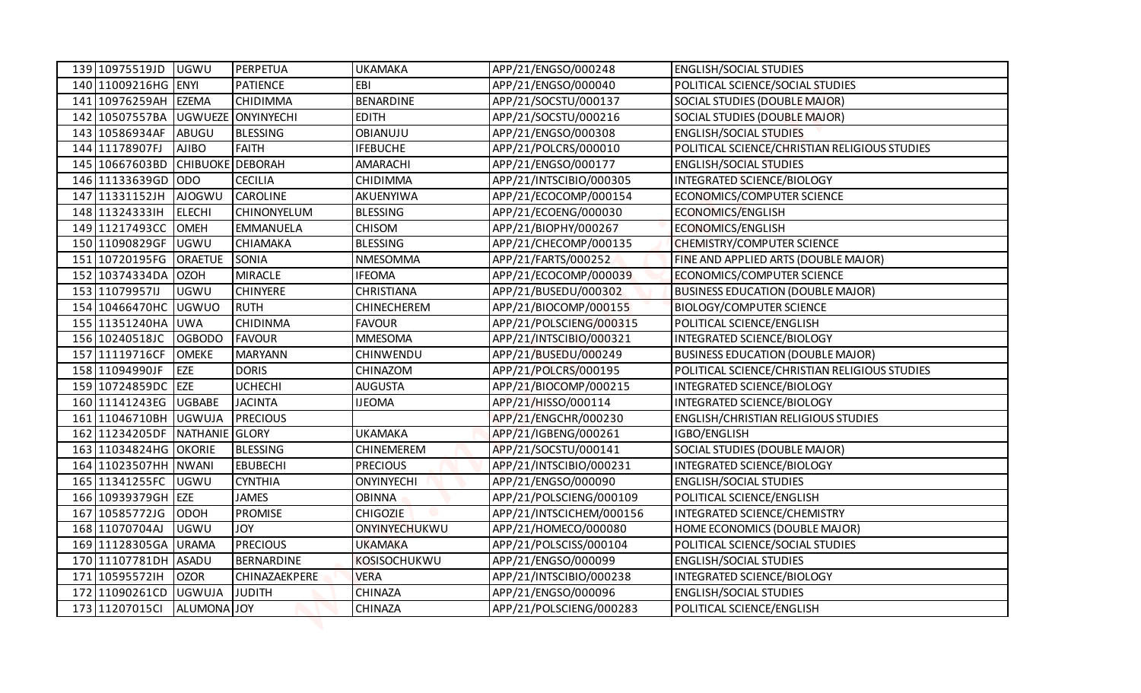| 139 10975519JD                                         | <b>UGWU</b>             | PERPETUA           | <b>UKAMAKA</b>     | APP/21/ENGSO/000248                          | <b>ENGLISH/SOCIAL STUDIES</b>                              |
|--------------------------------------------------------|-------------------------|--------------------|--------------------|----------------------------------------------|------------------------------------------------------------|
| 140 11009216HG ENYI                                    |                         | <b>PATIENCE</b>    | EBI                | APP/21/ENGSO/000040                          | POLITICAL SCIENCE/SOCIAL STUDIES                           |
| 141 10976259AH EZEMA                                   |                         | <b>CHIDIMMA</b>    | <b>BENARDINE</b>   | APP/21/SOCSTU/000137                         | SOCIAL STUDIES (DOUBLE MAJOR)                              |
| 142 10507557BA                                         |                         | UGWUEZE ONYINYECHI | <b>EDITH</b>       | APP/21/SOCSTU/000216                         | SOCIAL STUDIES (DOUBLE MAJOR)                              |
| 143 10586934AF                                         | <b>ABUGU</b>            | <b>BLESSING</b>    | OBIANUJU           | APP/21/ENGSO/000308                          | <b>ENGLISH/SOCIAL STUDIES</b>                              |
| 144 11178907FJ                                         | <b>AJIBO</b>            | <b>FAITH</b>       | <b>IFEBUCHE</b>    | APP/21/POLCRS/000010                         | POLITICAL SCIENCE/CHRISTIAN RELIGIOUS STUDIES              |
| 145 10667603BD                                         | <b>CHIBUOKE DEBORAH</b> |                    | AMARACHI           | APP/21/ENGSO/000177                          | <b>ENGLISH/SOCIAL STUDIES</b>                              |
| 146 11133639GD ODO                                     |                         | <b>CECILIA</b>     | CHIDIMMA           | APP/21/INTSCIBIO/000305                      | INTEGRATED SCIENCE/BIOLOGY                                 |
| 147 11331152JH                                         | <b>AJOGWU</b>           | <b>CAROLINE</b>    | AKUENYIWA          | APP/21/ECOCOMP/000154                        | ECONOMICS/COMPUTER SCIENCE                                 |
| 148 113243331H                                         | <b>ELECHI</b>           | CHINONYELUM        | <b>BLESSING</b>    | APP/21/ECOENG/000030                         | ECONOMICS/ENGLISH                                          |
| 149 11217493CC                                         | <b>OMEH</b>             | <b>EMMANUELA</b>   | <b>CHISOM</b>      | APP/21/BIOPHY/000267                         | <b>ECONOMICS/ENGLISH</b>                                   |
| 150 11090829GF                                         | <b>UGWU</b>             | <b>CHIAMAKA</b>    | <b>BLESSING</b>    | APP/21/CHECOMP/000135                        | <b>CHEMISTRY/COMPUTER SCIENCE</b>                          |
| 151 10720195FG                                         | <b>ORAETUE</b>          | <b>SONIA</b>       | NMESOMMA           | APP/21/FARTS/000252                          | FINE AND APPLIED ARTS (DOUBLE MAJOR)                       |
| 152 10374334DA OZOH                                    |                         | <b>MIRACLE</b>     | <b>IFEOMA</b>      | APP/21/ECOCOMP/000039                        | ECONOMICS/COMPUTER SCIENCE                                 |
| 153 11079957IJ                                         | <b>UGWU</b>             | <b>CHINYERE</b>    | <b>CHRISTIANA</b>  | APP/21/BUSEDU/000302                         | <b>BUSINESS EDUCATION (DOUBLE MAJOR)</b>                   |
| 154 10466470HC                                         | <b>UGWUO</b>            | <b>RUTH</b>        | <b>CHINECHEREM</b> | APP/21/BIOCOMP/000155                        | <b>BIOLOGY/COMPUTER SCIENCE</b>                            |
| 155 11351240HA UWA                                     |                         | <b>CHIDINMA</b>    | <b>FAVOUR</b>      | APP/21/POLSCIENG/000315                      | POLITICAL SCIENCE/ENGLISH                                  |
| 156 10240518JC                                         | <b>OGBODO</b>           | <b>FAVOUR</b>      | <b>MMESOMA</b>     | APP/21/INTSCIBIO/000321                      | INTEGRATED SCIENCE/BIOLOGY                                 |
| 157 11119716CF                                         | <b>OMEKE</b>            | <b>MARYANN</b>     | CHINWENDU          | APP/21/BUSEDU/000249                         | <b>BUSINESS EDUCATION (DOUBLE MAJOR)</b>                   |
| 158 11094990JF                                         | EZE                     | <b>DORIS</b>       | CHINAZOM           | APP/21/POLCRS/000195                         | POLITICAL SCIENCE/CHRISTIAN RELIGIOUS STUDIES              |
| 159 10724859DC EZE                                     |                         | <b>UCHECHI</b>     | <b>AUGUSTA</b>     | APP/21/BIOCOMP/000215                        | INTEGRATED SCIENCE/BIOLOGY                                 |
| 160 11141243EG UGBABE                                  |                         | <b>JACINTA</b>     | <b>IJEOMA</b>      | APP/21/HISSO/000114                          | INTEGRATED SCIENCE/BIOLOGY                                 |
| 161 11046710BH UGWUJA<br>162 11234205DF NATHANIE GLORY |                         | <b>PRECIOUS</b>    | <b>UKAMAKA</b>     | APP/21/ENGCHR/000230<br>APP/21/IGBENG/000261 | <b>ENGLISH/CHRISTIAN RELIGIOUS STUDIES</b><br>IGBO/ENGLISH |
| 163 11034824HG OKORIE                                  |                         | <b>BLESSING</b>    | <b>CHINEMEREM</b>  | APP/21/SOCSTU/000141                         | SOCIAL STUDIES (DOUBLE MAJOR)                              |
| 164 11023507HH NWANI                                   |                         | <b>EBUBECHI</b>    | <b>PRECIOUS</b>    | APP/21/INTSCIBIO/000231                      | INTEGRATED SCIENCE/BIOLOGY                                 |
| 165 11341255FC UGWU                                    |                         | <b>CYNTHIA</b>     | <b>ONYINYECHI</b>  | APP/21/ENGSO/000090                          | <b>ENGLISH/SOCIAL STUDIES</b>                              |
| 166 10939379GH EZE                                     |                         | <b>JAMES</b>       | <b>OBINNA</b>      | APP/21/POLSCIENG/000109                      | POLITICAL SCIENCE/ENGLISH                                  |
| 167 10585772JG                                         | ODOH                    | <b>PROMISE</b>     | <b>CHIGOZIE</b>    | APP/21/INTSCICHEM/000156                     | INTEGRATED SCIENCE/CHEMISTRY                               |
| 168 11070704AJ                                         | UGWU                    | <b>JOY</b>         | ONYINYECHUKWU      | APP/21/HOMECO/000080                         | HOME ECONOMICS (DOUBLE MAJOR)                              |
| 169 11128305GA URAMA                                   |                         | <b>PRECIOUS</b>    | <b>UKAMAKA</b>     | APP/21/POLSCISS/000104                       | POLITICAL SCIENCE/SOCIAL STUDIES                           |
| 170 11107781DH ASADU                                   |                         | BERNARDINE         | KOSISOCHUKWU       | APP/21/ENGSO/000099                          | <b>ENGLISH/SOCIAL STUDIES</b>                              |
| 171 105955721H                                         | <b>OZOR</b>             | CHINAZAEKPERE      | <b>VERA</b>        | APP/21/INTSCIBIO/000238                      | INTEGRATED SCIENCE/BIOLOGY                                 |
| 172 11090261CD                                         | <b>UGWUJA</b>           | <b>JUDITH</b>      | <b>CHINAZA</b>     | APP/21/ENGSO/000096                          | <b>ENGLISH/SOCIAL STUDIES</b>                              |
| 173 11207015Cl                                         | ALUMONA JOY             |                    | CHINAZA            | APP/21/POLSCIENG/000283                      | POLITICAL SCIENCE/ENGLISH                                  |
|                                                        |                         |                    |                    |                                              |                                                            |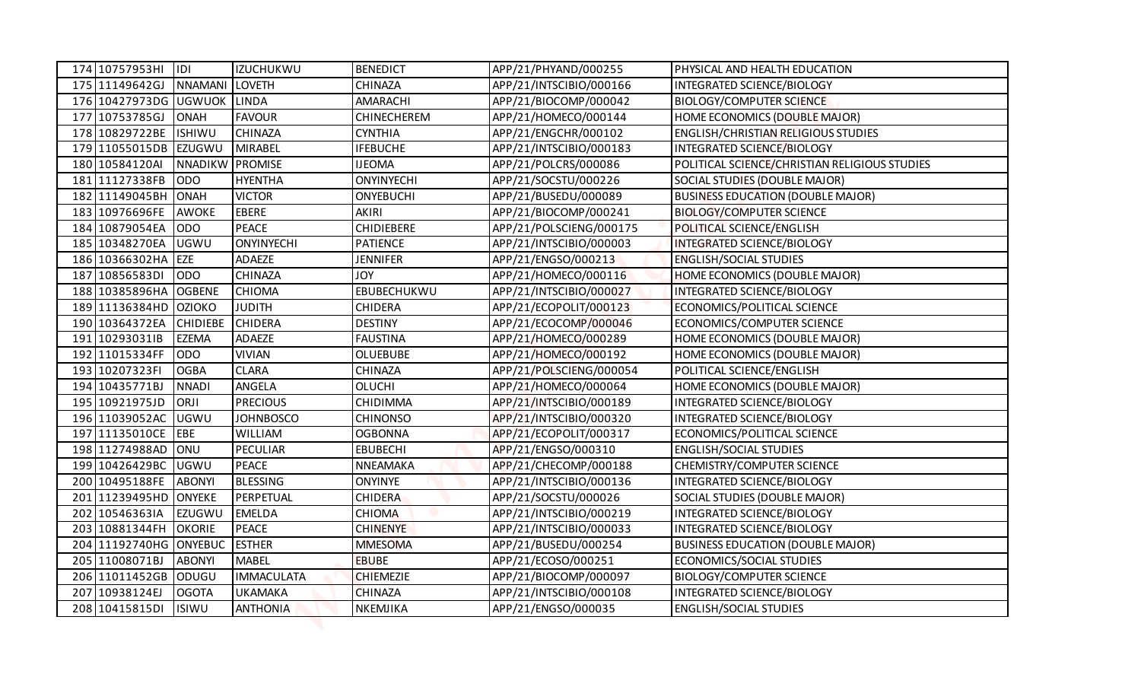| 174 10757953HI                          | 1D              | <b>IZUCHUKWU</b>             | <b>BENEDICT</b>                  | APP/21/PHYAND/000255                            | PHYSICAL AND HEALTH EDUCATION                               |
|-----------------------------------------|-----------------|------------------------------|----------------------------------|-------------------------------------------------|-------------------------------------------------------------|
| 175 11149642GJ                          | NNAMANI LOVETH  |                              | <b>CHINAZA</b>                   | APP/21/INTSCIBIO/000166                         | INTEGRATED SCIENCE/BIOLOGY                                  |
| 176 10427973DG UGWUOK LINDA             |                 |                              | AMARACHI                         | APP/21/BIOCOMP/000042                           | <b>BIOLOGY/COMPUTER SCIENCE</b>                             |
| 177 10753785GJ                          | <b>ONAH</b>     | <b>FAVOUR</b>                | <b>CHINECHEREM</b>               | APP/21/HOMECO/000144                            | HOME ECONOMICS (DOUBLE MAJOR)                               |
| 178 10829722BE                          | <b>ISHIWU</b>   | <b>CHINAZA</b>               | <b>CYNTHIA</b>                   | APP/21/ENGCHR/000102                            | <b>ENGLISH/CHRISTIAN RELIGIOUS STUDIES</b>                  |
| 179 11055015DB EZUGWU                   |                 | <b>MIRABEL</b>               | <b>IFEBUCHE</b>                  | APP/21/INTSCIBIO/000183                         | INTEGRATED SCIENCE/BIOLOGY                                  |
| 180 10584120AI                          | NNADIKW PROMISE |                              | <b>IJEOMA</b>                    | APP/21/POLCRS/000086                            | POLITICAL SCIENCE/CHRISTIAN RELIGIOUS STUDIES               |
| 181 11127338FB                          | <b>ODO</b>      | <b>HYENTHA</b>               | <b>ONYINYECHI</b>                | APP/21/SOCSTU/000226                            | SOCIAL STUDIES (DOUBLE MAJOR)                               |
| 182 11149045BH ONAH                     |                 | <b>VICTOR</b>                | <b>ONYEBUCHI</b>                 | APP/21/BUSEDU/000089                            | <b>BUSINESS EDUCATION (DOUBLE MAJOR)</b>                    |
| 183 10976696FE                          | <b>AWOKE</b>    | <b>EBERE</b>                 | <b>AKIRI</b>                     | APP/21/BIOCOMP/000241                           | <b>BIOLOGY/COMPUTER SCIENCE</b>                             |
| 184 10879054EA                          | OD <sub>O</sub> | <b>PEACE</b>                 | <b>CHIDIEBERE</b>                | APP/21/POLSCIENG/000175                         | POLITICAL SCIENCE/ENGLISH                                   |
| 185 10348270EA                          | <b>UGWU</b>     | <b>ONYINYECHI</b>            | <b>PATIENCE</b>                  | APP/21/INTSCIBIO/000003                         | INTEGRATED SCIENCE/BIOLOGY                                  |
| 186 10366302HA EZE                      |                 | ADAEZE                       | <b>JENNIFER</b>                  | APP/21/ENGSO/000213                             | <b>ENGLISH/SOCIAL STUDIES</b>                               |
| 187 10856583DI                          | <b>ODO</b>      | <b>CHINAZA</b>               | <b>JOY</b>                       | APP/21/HOMECO/000116                            | HOME ECONOMICS (DOUBLE MAJOR)                               |
| 188 10385896HA OGBENE                   |                 | <b>CHIOMA</b>                | EBUBECHUKWU                      | APP/21/INTSCIBIO/000027                         | INTEGRATED SCIENCE/BIOLOGY                                  |
| 189 11136384HD OZIOKO                   |                 | <b>JUDITH</b>                | <b>CHIDERA</b>                   | APP/21/ECOPOLIT/000123                          | ECONOMICS/POLITICAL SCIENCE                                 |
| 190 10364372EA                          | <b>CHIDIEBE</b> | <b>CHIDERA</b>               | <b>DESTINY</b>                   | APP/21/ECOCOMP/000046                           | ECONOMICS/COMPUTER SCIENCE                                  |
| 191 10293031IB                          | <b>EZEMA</b>    | <b>ADAEZE</b>                | <b>FAUSTINA</b>                  | APP/21/HOMECO/000289                            | HOME ECONOMICS (DOUBLE MAJOR)                               |
| 192 11015334FF                          | <b>ODO</b>      | <b>VIVIAN</b>                | <b>OLUEBUBE</b>                  | APP/21/HOMECO/000192                            | HOME ECONOMICS (DOUBLE MAJOR)                               |
| 193 10207323FI                          | <b>OGBA</b>     | <b>CLARA</b>                 | <b>CHINAZA</b>                   | APP/21/POLSCIENG/000054                         | POLITICAL SCIENCE/ENGLISH                                   |
| 194 10435771BJ                          | <b>NNADI</b>    | ANGELA                       | <b>OLUCHI</b>                    | APP/21/HOMECO/000064                            | HOME ECONOMICS (DOUBLE MAJOR)                               |
| 195 10921975JD                          | ORJI            | <b>PRECIOUS</b>              | CHIDIMMA                         | APP/21/INTSCIBIO/000189                         | INTEGRATED SCIENCE/BIOLOGY                                  |
| 196 11039052AC                          | <b>UGWU</b>     | <b>JOHNBOSCO</b>             | <b>CHINONSO</b>                  | APP/21/INTSCIBIO/000320                         | INTEGRATED SCIENCE/BIOLOGY                                  |
| 197 11135010CE                          | EBE             | <b>WILLIAM</b>               | <b>OGBONNA</b>                   | APP/21/ECOPOLIT/000317                          | ECONOMICS/POLITICAL SCIENCE                                 |
| 198 11274988AD ONU                      |                 | PECULIAR                     | <b>EBUBECHI</b>                  | APP/21/ENGSO/000310                             | <b>ENGLISH/SOCIAL STUDIES</b>                               |
| 199 10426429BC                          | <b>UGWU</b>     | <b>PEACE</b>                 | NNEAMAKA                         | APP/21/CHECOMP/000188                           | CHEMISTRY/COMPUTER SCIENCE                                  |
| 200 10495188FE<br>201 11239495HD ONYEKE | <b>ABONYI</b>   | <b>BLESSING</b><br>PERPETUAL | <b>ONYINYE</b>                   | APP/21/INTSCIBIO/000136<br>APP/21/SOCSTU/000026 | INTEGRATED SCIENCE/BIOLOGY                                  |
| 202 10546363IA                          | EZUGWU          | <b>EMELDA</b>                | <b>CHIDERA</b>                   | APP/21/INTSCIBIO/000219                         | SOCIAL STUDIES (DOUBLE MAJOR)<br>INTEGRATED SCIENCE/BIOLOGY |
| 203 10881344FH                          | <b>OKORIE</b>   | <b>PEACE</b>                 | <b>CHIOMA</b><br><b>CHINENYE</b> | APP/21/INTSCIBIO/000033                         | INTEGRATED SCIENCE/BIOLOGY                                  |
| 204 11192740HG ONYEBUC                  |                 | <b>ESTHER</b>                | <b>MMESOMA</b>                   | APP/21/BUSEDU/000254                            | <b>BUSINESS EDUCATION (DOUBLE MAJOR)</b>                    |
| 205 11008071BJ                          | <b>ABONYI</b>   | <b>MABEL</b>                 | <b>EBUBE</b>                     | APP/21/ECOSO/000251                             | ECONOMICS/SOCIAL STUDIES                                    |
| 206 11011452GB ODUGU                    |                 | <b>IMMACULATA</b>            | <b>CHIEMEZIE</b>                 | APP/21/BIOCOMP/000097                           | <b>BIOLOGY/COMPUTER SCIENCE</b>                             |
| 207 10938124EJ                          | <b>OGOTA</b>    | UKAMAKA                      | <b>CHINAZA</b>                   | APP/21/INTSCIBIO/000108                         | INTEGRATED SCIENCE/BIOLOGY                                  |
| 208 10415815DI                          | <b>ISIWU</b>    | <b>ANTHONIA</b>              | <b>NKEMJIKA</b>                  | APP/21/ENGSO/000035                             | <b>ENGLISH/SOCIAL STUDIES</b>                               |
|                                         |                 |                              |                                  |                                                 |                                                             |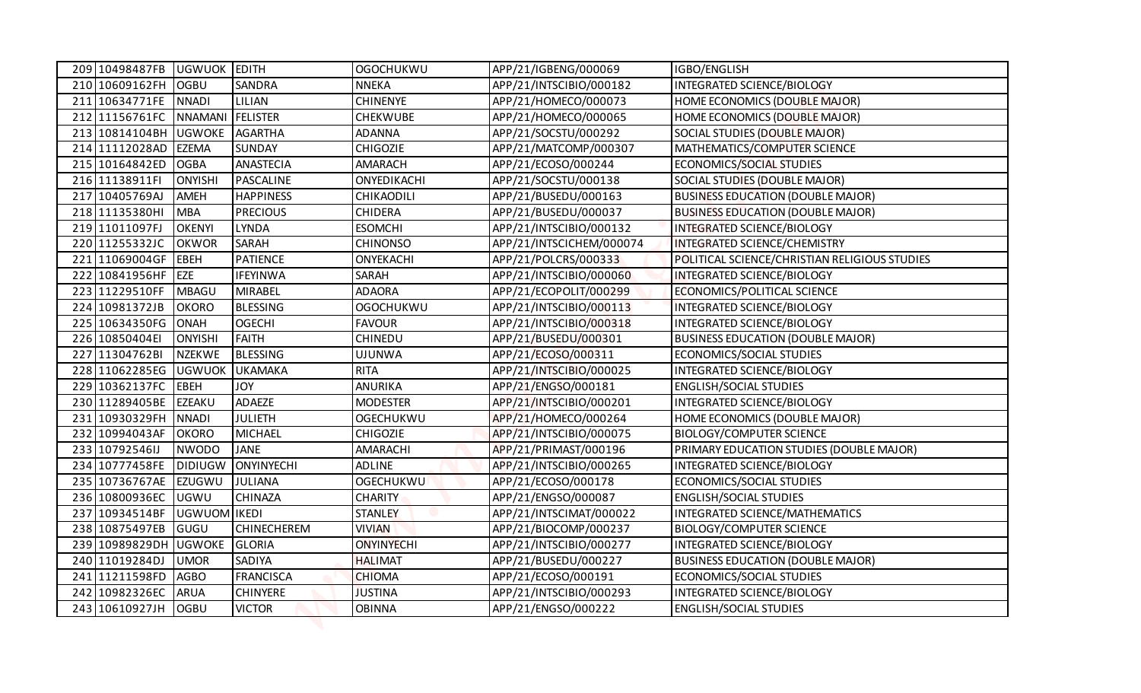| 209 10498487FB                      | UGWUOK EDITH   |                    | <b>OGOCHUKWU</b>  | APP/21/IGBENG/000069     | IGBO/ENGLISH                                  |
|-------------------------------------|----------------|--------------------|-------------------|--------------------------|-----------------------------------------------|
| 210 10609162FH                      | <b>OGBU</b>    | SANDRA             | <b>NNEKA</b>      | APP/21/INTSCIBIO/000182  | INTEGRATED SCIENCE/BIOLOGY                    |
| 211 10634771FE NNADI                |                | LILIAN             | <b>CHINENYE</b>   | APP/21/HOMECO/000073     | HOME ECONOMICS (DOUBLE MAJOR)                 |
| 212 11156761FC   NNAMANI   FELISTER |                |                    | <b>CHEKWUBE</b>   | APP/21/HOMECO/000065     | HOME ECONOMICS (DOUBLE MAJOR)                 |
| 213 10814104BH UGWOKE               |                | AGARTHA            | <b>ADANNA</b>     | APP/21/SOCSTU/000292     | SOCIAL STUDIES (DOUBLE MAJOR)                 |
| 214 11112028AD                      | <b>EZEMA</b>   | <b>SUNDAY</b>      | <b>CHIGOZIE</b>   | APP/21/MATCOMP/000307    | MATHEMATICS/COMPUTER SCIENCE                  |
| 215 10164842ED                      | <b>OGBA</b>    | ANASTECIA          | AMARACH           | APP/21/ECOSO/000244      | ECONOMICS/SOCIAL STUDIES                      |
| 216 11138911FI                      | <b>ONYISHI</b> | PASCALINE          | ONYEDIKACHI       | APP/21/SOCSTU/000138     | SOCIAL STUDIES (DOUBLE MAJOR)                 |
| 217 10405769AJ                      | <b>AMEH</b>    | <b>HAPPINESS</b>   | CHIKAODILI        | APP/21/BUSEDU/000163     | <b>BUSINESS EDUCATION (DOUBLE MAJOR)</b>      |
| 218 11135380HI                      | <b>MBA</b>     | <b>PRECIOUS</b>    | <b>CHIDERA</b>    | APP/21/BUSEDU/000037     | <b>BUSINESS EDUCATION (DOUBLE MAJOR)</b>      |
| 219 11011097FJ                      | <b>OKENYI</b>  | LYNDA              | <b>ESOMCHI</b>    | APP/21/INTSCIBIO/000132  | INTEGRATED SCIENCE/BIOLOGY                    |
| 220 11255332JC                      | <b>OKWOR</b>   | SARAH              | <b>CHINONSO</b>   | APP/21/INTSCICHEM/000074 | INTEGRATED SCIENCE/CHEMISTRY                  |
| 221 11069004GF                      | EBEH           | <b>PATIENCE</b>    | ONYEKACHI         | APP/21/POLCRS/000333     | POLITICAL SCIENCE/CHRISTIAN RELIGIOUS STUDIES |
| 222 10841956HF                      | <b>EZE</b>     | <b>IFEYINWA</b>    | SARAH             | APP/21/INTSCIBIO/000060  | INTEGRATED SCIENCE/BIOLOGY                    |
| 223 11229510FF                      | <b>MBAGU</b>   | <b>MIRABEL</b>     | <b>ADAORA</b>     | APP/21/ECOPOLIT/000299   | ECONOMICS/POLITICAL SCIENCE                   |
| 224 10981372JB                      | <b>OKORO</b>   | <b>BLESSING</b>    | <b>OGOCHUKWU</b>  | APP/21/INTSCIBIO/000113  | <b>INTEGRATED SCIENCE/BIOLOGY</b>             |
| 225 10634350FG                      | <b>ONAH</b>    | <b>OGECHI</b>      | <b>FAVOUR</b>     | APP/21/INTSCIBIO/000318  | INTEGRATED SCIENCE/BIOLOGY                    |
| 226 10850404EI                      | <b>ONYISHI</b> | <b>FAITH</b>       | <b>CHINEDU</b>    | APP/21/BUSEDU/000301     | <b>BUSINESS EDUCATION (DOUBLE MAJOR)</b>      |
| 227 11304762BI                      | <b>NZEKWE</b>  | <b>BLESSING</b>    | <b>UJUNWA</b>     | APP/21/ECOSO/000311      | ECONOMICS/SOCIAL STUDIES                      |
| 228 11062285EG UGWUOK UKAMAKA       |                |                    | <b>RITA</b>       | APP/21/INTSCIBIO/000025  | INTEGRATED SCIENCE/BIOLOGY                    |
| 229 10362137FC EBEH                 |                | <b>YOL</b>         | <b>ANURIKA</b>    | APP/21/ENGSO/000181      | <b>ENGLISH/SOCIAL STUDIES</b>                 |
| 230 11289405BE                      | <b>EZEAKU</b>  | ADAEZE             | <b>MODESTER</b>   | APP/21/INTSCIBIO/000201  | INTEGRATED SCIENCE/BIOLOGY                    |
| 231 10930329FH                      | <b>NNADI</b>   | <b>JULIETH</b>     | <b>OGECHUKWU</b>  | APP/21/HOMECO/000264     | HOME ECONOMICS (DOUBLE MAJOR)                 |
| 232 10994043AF                      | <b>OKORO</b>   | <b>MICHAEL</b>     | <b>CHIGOZIE</b>   | APP/21/INTSCIBIO/000075  | <b>BIOLOGY/COMPUTER SCIENCE</b>               |
| 233 10792546IJ                      | <b>NWODO</b>   | <b>JANE</b>        | AMARACHI          | APP/21/PRIMAST/000196    | PRIMARY EDUCATION STUDIES (DOUBLE MAJOR)      |
| 234 10777458FE                      | <b>DIDIUGW</b> | ONYINYECHI         | <b>ADLINE</b>     | APP/21/INTSCIBIO/000265  | INTEGRATED SCIENCE/BIOLOGY                    |
| 235 10736767AE EZUGWU               |                | <b>JULIANA</b>     | <b>OGECHUKWU</b>  | APP/21/ECOSO/000178      | ECONOMICS/SOCIAL STUDIES                      |
| 236 10800936EC                      | <b>UGWU</b>    | <b>CHINAZA</b>     | CHARITY           | APP/21/ENGSO/000087      | <b>ENGLISH/SOCIAL STUDIES</b>                 |
| 237 10934514BF                      | UGWUOM IKEDI   |                    | <b>STANLEY</b>    | APP/21/INTSCIMAT/000022  | INTEGRATED SCIENCE/MATHEMATICS                |
| 238 10875497EB                      | GUGU           | <b>CHINECHEREM</b> | <b>VIVIAN</b>     | APP/21/BIOCOMP/000237    | <b>BIOLOGY/COMPUTER SCIENCE</b>               |
| 239 10989829DH UGWOKE               |                | GLORIA             | <b>ONYINYECHI</b> | APP/21/INTSCIBIO/000277  | INTEGRATED SCIENCE/BIOLOGY                    |
| 240 11019284DJ                      | <b>UMOR</b>    | SADIYA             | <b>HALIMAT</b>    | APP/21/BUSEDU/000227     | <b>BUSINESS EDUCATION (DOUBLE MAJOR)</b>      |
| 241 11211598FD                      | <b>AGBO</b>    | <b>FRANCISCA</b>   | <b>CHIOMA</b>     | APP/21/ECOSO/000191      | ECONOMICS/SOCIAL STUDIES                      |
| 242 10982326EC                      | <b>ARUA</b>    | <b>CHINYERE</b>    | <b>JUSTINA</b>    | APP/21/INTSCIBIO/000293  | INTEGRATED SCIENCE/BIOLOGY                    |
| 243 10610927JH                      | <b>OGBU</b>    | <b>VICTOR</b>      | <b>OBINNA</b>     | APP/21/ENGSO/000222      | <b>ENGLISH/SOCIAL STUDIES</b>                 |
|                                     |                |                    |                   |                          |                                               |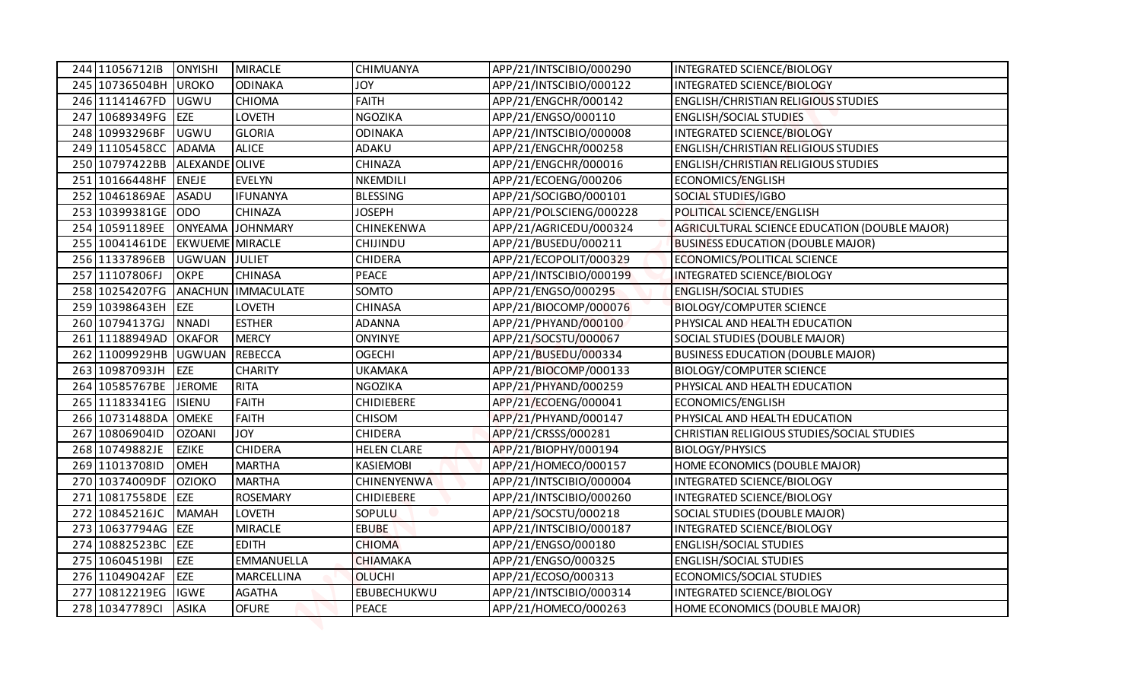| 244 11056712IB                    | <b>ONYISHI</b>             | <b>MIRACLE</b>                  | CHIMUANYA              | APP/21/INTSCIBIO/000290                         | INTEGRATED SCIENCE/BIOLOGY                                  |
|-----------------------------------|----------------------------|---------------------------------|------------------------|-------------------------------------------------|-------------------------------------------------------------|
| 245 10736504BH                    | <b>UROKO</b>               | <b>ODINAKA</b>                  | <b>JOY</b>             | APP/21/INTSCIBIO/000122                         | INTEGRATED SCIENCE/BIOLOGY                                  |
| 246 11141467FD                    | <b>UGWU</b>                | <b>CHIOMA</b>                   | <b>FAITH</b>           | APP/21/ENGCHR/000142                            | <b>ENGLISH/CHRISTIAN RELIGIOUS STUDIES</b>                  |
| 247 10689349FG EZE                |                            | LOVETH                          | <b>NGOZIKA</b>         | APP/21/ENGSO/000110                             | <b>ENGLISH/SOCIAL STUDIES</b>                               |
| 248 10993296BF                    | <b>UGWU</b>                | <b>GLORIA</b>                   | <b>ODINAKA</b>         | APP/21/INTSCIBIO/000008                         | INTEGRATED SCIENCE/BIOLOGY                                  |
| 249 11105458CC                    | <b>ADAMA</b>               | <b>ALICE</b>                    | ADAKU                  | APP/21/ENGCHR/000258                            | <b>ENGLISH/CHRISTIAN RELIGIOUS STUDIES</b>                  |
| 250 10797422BB                    | ALEXANDE OLIVE             |                                 | <b>CHINAZA</b>         | APP/21/ENGCHR/000016                            | <b>ENGLISH/CHRISTIAN RELIGIOUS STUDIES</b>                  |
| 251 10166448HF ENEJE              |                            | <b>EVELYN</b>                   | NKEMDILI               | APP/21/ECOENG/000206                            | ECONOMICS/ENGLISH                                           |
| 252 10461869AE ASADU              |                            | <b>IFUNANYA</b>                 | <b>BLESSING</b>        | APP/21/SOCIGBO/000101                           | SOCIAL STUDIES/IGBO                                         |
| 253 10399381GE ODO                |                            | <b>CHINAZA</b>                  | <b>JOSEPH</b>          | APP/21/POLSCIENG/000228                         | POLITICAL SCIENCE/ENGLISH                                   |
| 254 10591189EE                    |                            | ONYEAMA JOHNMARY                | CHINEKENWA             | APP/21/AGRICEDU/000324                          | AGRICULTURAL SCIENCE EDUCATION (DOUBLE MAJOR)               |
| 255 10041461DE EKWUEME MIRACLE    |                            |                                 | CHIJINDU               | APP/21/BUSEDU/000211                            | <b>BUSINESS EDUCATION (DOUBLE MAJOR)</b>                    |
| 256 11337896EB                    | UGWUAN JULIET              |                                 | <b>CHIDERA</b>         | APP/21/ECOPOLIT/000329                          | ECONOMICS/POLITICAL SCIENCE                                 |
| 257 11107806FJ                    | <b>OKPE</b>                | <b>CHINASA</b>                  | <b>PEACE</b>           | APP/21/INTSCIBIO/000199                         | INTEGRATED SCIENCE/BIOLOGY                                  |
| 258 10254207FG ANACHUN IMMACULATE |                            |                                 | SOMTO                  | APP/21/ENGSO/000295                             | <b>ENGLISH/SOCIAL STUDIES</b>                               |
| 259 10398643EH                    | <b>EZE</b>                 | LOVETH                          | <b>CHINASA</b>         | APP/21/BIOCOMP/000076                           | <b>BIOLOGY/COMPUTER SCIENCE</b>                             |
| 260 10794137GJ                    | <b>NNADI</b>               | <b>ESTHER</b>                   | <b>ADANNA</b>          | APP/21/PHYAND/000100                            | PHYSICAL AND HEALTH EDUCATION                               |
| 261 11188949AD                    | <b>OKAFOR</b>              | <b>MERCY</b>                    | <b>ONYINYE</b>         | APP/21/SOCSTU/000067                            | SOCIAL STUDIES (DOUBLE MAJOR)                               |
| 262 11009929HB UGWUAN             |                            | <b>REBECCA</b>                  | <b>OGECHI</b>          | APP/21/BUSEDU/000334                            | <b>BUSINESS EDUCATION (DOUBLE MAJOR)</b>                    |
| 263 10987093JH EZE                |                            | <b>CHARITY</b>                  | <b>UKAMAKA</b>         | APP/21/BIOCOMP/000133                           | <b>BIOLOGY/COMPUTER SCIENCE</b>                             |
| 264 10585767BE JEROME             |                            | <b>RITA</b>                     | NGOZIKA                | APP/21/PHYAND/000259                            | PHYSICAL AND HEALTH EDUCATION                               |
| 265 11183341EG   ISIENU           |                            | <b>FAITH</b>                    | <b>CHIDIEBERE</b>      | APP/21/ECOENG/000041                            | ECONOMICS/ENGLISH                                           |
| 266 10731488DA OMEKE              |                            | <b>FAITH</b>                    | <b>CHISOM</b>          | APP/21/PHYAND/000147                            | PHYSICAL AND HEALTH EDUCATION                               |
| 267 10806904ID                    | <b>OZOANI</b>              | <b>JOY</b>                      | <b>CHIDERA</b>         | APP/21/CRSSS/000281                             | CHRISTIAN RELIGIOUS STUDIES/SOCIAL STUDIES                  |
| 268 10749882JE                    | EZIKE                      | <b>CHIDERA</b>                  | <b>HELEN CLARE</b>     | APP/21/BIOPHY/000194                            | <b>BIOLOGY/PHYSICS</b>                                      |
| 269 11013708ID                    | <b>OMEH</b>                | <b>MARTHA</b>                   | <b>KASIEMOBI</b>       | APP/21/HOMECO/000157                            | HOME ECONOMICS (DOUBLE MAJOR)                               |
| 270 10374009DF                    | <b>OZIOKO</b>              | <b>MARTHA</b>                   | <b>CHINENYENWA</b>     | APP/21/INTSCIBIO/000004                         | INTEGRATED SCIENCE/BIOLOGY                                  |
| 271 10817558DE EZE                |                            | <b>ROSEMARY</b>                 | <b>CHIDIEBERE</b>      | APP/21/INTSCIBIO/000260                         | INTEGRATED SCIENCE/BIOLOGY                                  |
| 272 10845216JC<br>273 10637794AG  | <b>MAMAH</b><br><b>EZE</b> | <b>LOVETH</b><br><b>MIRACLE</b> | SOPULU<br><b>EBUBE</b> | APP/21/SOCSTU/000218<br>APP/21/INTSCIBIO/000187 | SOCIAL STUDIES (DOUBLE MAJOR)<br>INTEGRATED SCIENCE/BIOLOGY |
| 274 10882523BC                    | <b>EZE</b>                 | <b>EDITH</b>                    | <b>CHIOMA</b>          | APP/21/ENGSO/000180                             | <b>ENGLISH/SOCIAL STUDIES</b>                               |
| 275 10604519BI                    | <b>EZE</b>                 | EMMANUELLA                      | <b>CHIAMAKA</b>        | APP/21/ENGSO/000325                             | <b>ENGLISH/SOCIAL STUDIES</b>                               |
| 276 11049042AF                    | <b>EZE</b>                 | MARCELLINA                      | <b>OLUCHI</b>          | APP/21/ECOSO/000313                             | ECONOMICS/SOCIAL STUDIES                                    |
| 277 10812219EG                    | <b>IGWE</b>                | <b>AGATHA</b>                   | EBUBECHUKWU            | APP/21/INTSCIBIO/000314                         | INTEGRATED SCIENCE/BIOLOGY                                  |
| 278 10347789Cl                    | <b>ASIKA</b>               | <b>OFURE</b>                    | <b>PEACE</b>           | APP/21/HOMECO/000263                            | HOME ECONOMICS (DOUBLE MAJOR)                               |
|                                   |                            |                                 |                        |                                                 |                                                             |